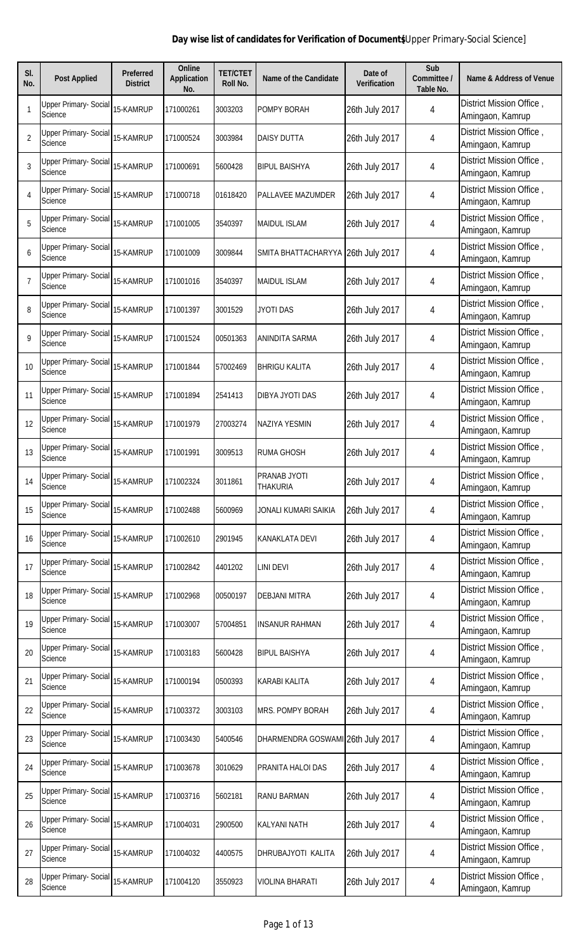| SI.<br>No.     | <b>Post Applied</b>                     | <b>Preferred</b><br><b>District</b> | <b>Online</b><br><b>Application</b><br>No. | <b>TET/CTET</b><br>Roll No. | <b>Name of the Candidate</b>       | Date of<br><b>Verification</b> | Sub<br>Committee /<br><b>Table No.</b> | <b>Name &amp; Address of Venue</b>           |
|----------------|-----------------------------------------|-------------------------------------|--------------------------------------------|-----------------------------|------------------------------------|--------------------------------|----------------------------------------|----------------------------------------------|
| $\mathbf{1}$   | <b>Upper Primary- Social</b><br>Science | 15-KAMRUP                           | 171000261                                  | 3003203                     | POMPY BORAH                        | 26th July 2017                 | 4                                      | District Mission Office,<br>Amingaon, Kamrup |
| $\overline{2}$ | Upper Primary- Social<br>Science        | 15-KAMRUP                           | 171000524                                  | 3003984                     | <b>DAISY DUTTA</b>                 | 26th July 2017                 | 4                                      | District Mission Office,<br>Amingaon, Kamrup |
| 3              | Upper Primary- Social<br>Science        | 15-KAMRUP                           | 171000691                                  | 5600428                     | <b>BIPUL BAISHYA</b>               | 26th July 2017                 | 4                                      | District Mission Office,<br>Amingaon, Kamrup |
| 4              | <b>Upper Primary- Social</b><br>Science | 15-KAMRUP                           | 171000718                                  | 01618420                    | PALLAVEE MAZUMDER                  | 26th July 2017                 | 4                                      | District Mission Office,<br>Amingaon, Kamrup |
| 5              | <b>Upper Primary- Social</b><br>Science | 15-KAMRUP                           | 171001005                                  | 3540397                     | <b>MAIDUL ISLAM</b>                | 26th July 2017                 | 4                                      | District Mission Office,<br>Amingaon, Kamrup |
| 6              | Upper Primary- Social<br>Science        | 15-KAMRUP                           | 171001009                                  | 3009844                     | SMITA BHATTACHARYYA 26th July 2017 |                                | 4                                      | District Mission Office,<br>Amingaon, Kamrup |
| $\overline{7}$ | <b>Upper Primary- Social</b><br>Science | 15-KAMRUP                           | 171001016                                  | 3540397                     | <b>MAIDUL ISLAM</b>                | 26th July 2017                 | 4                                      | District Mission Office,<br>Amingaon, Kamrup |
| 8              | <b>Upper Primary- Social</b><br>Science | 15-KAMRUP                           | 171001397                                  | 3001529                     | <b>JYOTI DAS</b>                   | 26th July 2017                 | 4                                      | District Mission Office,<br>Amingaon, Kamrup |
| 9              | <b>Upper Primary- Social</b><br>Science | 15-KAMRUP                           | 171001524                                  | 00501363                    | ANINDITA SARMA                     | 26th July 2017                 | 4                                      | District Mission Office,<br>Amingaon, Kamrup |
| 10             | <b>Upper Primary- Social</b><br>Science | 15-KAMRUP                           | 171001844                                  | 57002469                    | <b>BHRIGU KALITA</b>               | 26th July 2017                 | 4                                      | District Mission Office,<br>Amingaon, Kamrup |
| 11             | <b>Upper Primary- Social</b><br>Science | 15-KAMRUP                           | 171001894                                  | 2541413                     | DIBYA JYOTI DAS                    | 26th July 2017                 | 4                                      | District Mission Office,<br>Amingaon, Kamrup |
| 12             | <b>Upper Primary- Social</b><br>Science | 15-KAMRUP                           | 171001979                                  | 27003274                    | <b>NAZIYA YESMIN</b>               | 26th July 2017                 | 4                                      | District Mission Office,<br>Amingaon, Kamrup |
| 13             | Upper Primary- Social<br>Science        | 15-KAMRUP                           | 171001991                                  | 3009513                     | <b>RUMA GHOSH</b>                  | 26th July 2017                 | 4                                      | District Mission Office,<br>Amingaon, Kamrup |
| 14             | <b>Upper Primary- Social</b><br>Science | 15-KAMRUP                           | 171002324                                  | 3011861                     | PRANAB JYOTI<br>THAKURIA           | 26th July 2017                 | 4                                      | District Mission Office,<br>Amingaon, Kamrup |
| 15             | <b>Upper Primary- Social</b><br>Science | 15-KAMRUP                           | 171002488                                  | 5600969                     | JONALI KUMARI SAIKIA               | 26th July 2017                 | 4                                      | District Mission Office,<br>Amingaon, Kamrup |
| 16             | <b>Upper Primary- Social</b><br>Science | 15-KAMRUP                           | 171002610                                  | 2901945                     | KANAKLATA DEVI                     | 26th July 2017                 | 4                                      | District Mission Office,<br>Amingaon, Kamrup |
| 17             | <b>Upper Primary- Social</b><br>Science | 15-KAMRUP                           | 171002842                                  | 4401202                     | LINI DEVI                          | 26th July 2017                 | 4                                      | District Mission Office,<br>Amingaon, Kamrup |
| 18             | Upper Primary- Social<br>Science        | 15-KAMRUP                           | 171002968                                  | 00500197                    | DEBJANI MITRA                      | 26th July 2017                 | 4                                      | District Mission Office,<br>Amingaon, Kamrup |
| 19             | Upper Primary- Social<br>Science        | 15-KAMRUP                           | 171003007                                  | 57004851                    | <b>INSANUR RAHMAN</b>              | 26th July 2017                 | 4                                      | District Mission Office,<br>Amingaon, Kamrup |
| 20             | Upper Primary- Social<br>Science        | 15-KAMRUP                           | 171003183                                  | 5600428                     | <b>BIPUL BAISHYA</b>               | 26th July 2017                 | 4                                      | District Mission Office,<br>Amingaon, Kamrup |
| 21             | <b>Upper Primary- Social</b><br>Science | 15-KAMRUP                           | 171000194                                  | 0500393                     | KARABI KALITA                      | 26th July 2017                 | 4                                      | District Mission Office,<br>Amingaon, Kamrup |
| 22             | Upper Primary- Social<br>Science        | 15-KAMRUP                           | 171003372                                  | 3003103                     | MRS. POMPY BORAH                   | 26th July 2017                 | 4                                      | District Mission Office,<br>Amingaon, Kamrup |
| 23             | Upper Primary- Social<br>Science        | 15-KAMRUP                           | 171003430                                  | 5400546                     | DHARMENDRA GOSWAMI 26th July 2017  |                                | 4                                      | District Mission Office,<br>Amingaon, Kamrup |
| 24             | Upper Primary- Social<br>Science        | 15-KAMRUP                           | 171003678                                  | 3010629                     | PRANITA HALOI DAS                  | 26th July 2017                 | 4                                      | District Mission Office,<br>Amingaon, Kamrup |
| 25             | <b>Upper Primary- Social</b><br>Science | 15-KAMRUP                           | 171003716                                  | 5602181                     | RANU BARMAN                        | 26th July 2017                 | 4                                      | District Mission Office,<br>Amingaon, Kamrup |
| 26             | <b>Upper Primary- Social</b><br>Science | 15-KAMRUP                           | 171004031                                  | 2900500                     | <b>KALYANI NATH</b>                | 26th July 2017                 | 4                                      | District Mission Office,<br>Amingaon, Kamrup |
| 27             | <b>Upper Primary- Social</b><br>Science | 15-KAMRUP                           | 171004032                                  | 4400575                     | DHRUBAJYOTI KALITA                 | 26th July 2017                 | 4                                      | District Mission Office,<br>Amingaon, Kamrup |
| 28             | <b>Upper Primary- Social</b><br>Science | 15-KAMRUP                           | 171004120                                  | 3550923                     | VIOLINA BHARATI                    | 26th July 2017                 | 4                                      | District Mission Office,<br>Amingaon, Kamrup |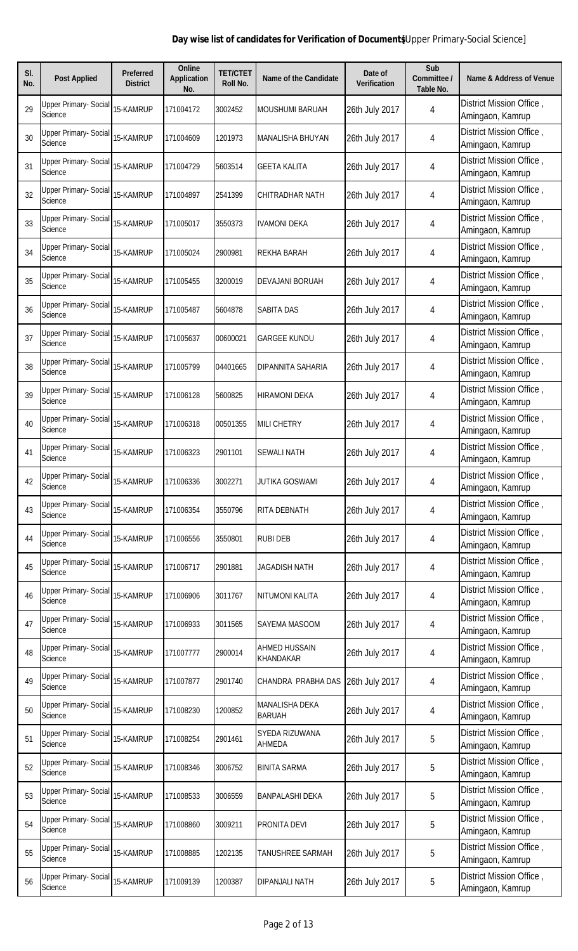| SI.<br>No. | <b>Post Applied</b>                     | Preferred<br><b>District</b> | <b>Online</b><br><b>Application</b><br>No. | <b>TET/CTET</b><br>Roll No. | <b>Name of the Candidate</b>    | Date of<br><b>Verification</b> | Sub<br>Committee /<br>Table No. | <b>Name &amp; Address of Venue</b>           |
|------------|-----------------------------------------|------------------------------|--------------------------------------------|-----------------------------|---------------------------------|--------------------------------|---------------------------------|----------------------------------------------|
| 29         | Upper Primary- Social<br>Science        | 15-KAMRUP                    | 171004172                                  | 3002452                     | <b>MOUSHUMI BARUAH</b>          | 26th July 2017                 | 4                               | District Mission Office,<br>Amingaon, Kamrup |
| 30         | Upper Primary- Social<br>Science        | 15-KAMRUP                    | 171004609                                  | 1201973                     | <b>MANALISHA BHUYAN</b>         | 26th July 2017                 | 4                               | District Mission Office,<br>Amingaon, Kamrup |
| 31         | <b>Upper Primary- Social</b><br>Science | 15-KAMRUP                    | 171004729                                  | 5603514                     | <b>GEETA KALITA</b>             | 26th July 2017                 | 4                               | District Mission Office,<br>Amingaon, Kamrup |
| 32         | Upper Primary- Social<br>Science        | 15-KAMRUP                    | 171004897                                  | 2541399                     | CHITRADHAR NATH                 | 26th July 2017                 | 4                               | District Mission Office,<br>Amingaon, Kamrup |
| 33         | <b>Upper Primary- Social</b><br>Science | 15-KAMRUP                    | 171005017                                  | 3550373                     | <b>IVAMONI DEKA</b>             | 26th July 2017                 | 4                               | District Mission Office,<br>Amingaon, Kamrup |
| 34         | Upper Primary- Social<br>Science        | 15-KAMRUP                    | 171005024                                  | 2900981                     | REKHA BARAH                     | 26th July 2017                 | 4                               | District Mission Office,<br>Amingaon, Kamrup |
| 35         | <b>Upper Primary- Social</b><br>Science | 15-KAMRUP                    | 171005455                                  | 3200019                     | DEVAJANI BORUAH                 | 26th July 2017                 | 4                               | District Mission Office,<br>Amingaon, Kamrup |
| 36         | Upper Primary- Social<br>Science        | 15-KAMRUP                    | 171005487                                  | 5604878                     | <b>SABITA DAS</b>               | 26th July 2017                 | 4                               | District Mission Office,<br>Amingaon, Kamrup |
| 37         | <b>Upper Primary- Social</b><br>Science | 15-KAMRUP                    | 171005637                                  | 00600021                    | <b>GARGEE KUNDU</b>             | 26th July 2017                 | 4                               | District Mission Office,<br>Amingaon, Kamrup |
| 38         | <b>Upper Primary- Social</b><br>Science | 15-KAMRUP                    | 171005799                                  | 04401665                    | DIPANNITA SAHARIA               | 26th July 2017                 | 4                               | District Mission Office,<br>Amingaon, Kamrup |
| 39         | <b>Upper Primary- Social</b><br>Science | 15-KAMRUP                    | 171006128                                  | 5600825                     | <b>HIRAMONI DEKA</b>            | 26th July 2017                 | 4                               | District Mission Office,<br>Amingaon, Kamrup |
| 40         | <b>Upper Primary- Social</b><br>Science | 15-KAMRUP                    | 171006318                                  | 00501355                    | <b>MILI CHETRY</b>              | 26th July 2017                 | 4                               | District Mission Office,<br>Amingaon, Kamrup |
| 41         | <b>Upper Primary- Social</b><br>Science | 15-KAMRUP                    | 171006323                                  | 2901101                     | SEWALI NATH                     | 26th July 2017                 | 4                               | District Mission Office,<br>Amingaon, Kamrup |
| 42         | Upper Primary- Social<br>Science        | 15-KAMRUP                    | 171006336                                  | 3002271                     | JUTIKA GOSWAMI                  | 26th July 2017                 | 4                               | District Mission Office,<br>Amingaon, Kamrup |
| 43         | <b>Upper Primary- Social</b><br>Science | 15-KAMRUP                    | 171006354                                  | 3550796                     | RITA DEBNATH                    | 26th July 2017                 | 4                               | District Mission Office,<br>Amingaon, Kamrup |
| 44         | <b>Upper Primary- Social</b><br>Science | 15-KAMRUP                    | 171006556                                  | 3550801                     | <b>RUBI DEB</b>                 | 26th July 2017                 | 4                               | District Mission Office,<br>Amingaon, Kamrup |
| 45         | <b>Upper Primary- Social</b><br>Science | 15-KAMRUP                    | 171006717                                  | 2901881                     | JAGADISH NATH                   | 26th July 2017                 | 4                               | District Mission Office,<br>Amingaon, Kamrup |
| 46         | <b>Upper Primary- Social</b><br>Science | 15-KAMRUP                    | 171006906                                  | 3011767                     | NITUMONI KALITA                 | 26th July 2017                 | 4                               | District Mission Office,<br>Amingaon, Kamrup |
| 47         | <b>Upper Primary- Social</b><br>Science | 15-KAMRUP                    | 171006933                                  | 3011565                     | SAYEMA MASOOM                   | 26th July 2017                 | 4                               | District Mission Office,<br>Amingaon, Kamrup |
| 48         | Upper Primary- Social<br>Science        | 15-KAMRUP                    | 171007777                                  | 2900014                     | AHMED HUSSAIN<br>KHANDAKAR      | 26th July 2017                 | 4                               | District Mission Office,<br>Amingaon, Kamrup |
| 49         | <b>Upper Primary- Social</b><br>Science | 15-KAMRUP                    | 171007877                                  | 2901740                     | CHANDRA PRABHA DAS              | 26th July 2017                 | 4                               | District Mission Office,<br>Amingaon, Kamrup |
| 50         | Upper Primary- Social<br>Science        | 15-KAMRUP                    | 171008230                                  | 1200852                     | MANALISHA DEKA<br><b>BARUAH</b> | 26th July 2017                 | 4                               | District Mission Office,<br>Amingaon, Kamrup |
| 51         | <b>Upper Primary- Social</b><br>Science | 15-KAMRUP                    | 171008254                                  | 2901461                     | SYEDA RIZUWANA<br>AHMEDA        | 26th July 2017                 | 5                               | District Mission Office,<br>Amingaon, Kamrup |
| 52         | Upper Primary- Social<br>Science        | 15-KAMRUP                    | 171008346                                  | 3006752                     | <b>BINITA SARMA</b>             | 26th July 2017                 | 5                               | District Mission Office,<br>Amingaon, Kamrup |
| 53         | <b>Upper Primary- Social</b><br>Science | 15-KAMRUP                    | 171008533                                  | 3006559                     | <b>BANPALASHI DEKA</b>          | 26th July 2017                 | 5                               | District Mission Office,<br>Amingaon, Kamrup |
| 54         | <b>Upper Primary- Social</b><br>Science | 15-KAMRUP                    | 171008860                                  | 3009211                     | PRONITA DEVI                    | 26th July 2017                 | 5                               | District Mission Office,<br>Amingaon, Kamrup |
| 55         | <b>Upper Primary- Social</b><br>Science | 15-KAMRUP                    | 171008885                                  | 1202135                     | TANUSHREE SARMAH                | 26th July 2017                 | 5                               | District Mission Office,<br>Amingaon, Kamrup |
| 56         | <b>Upper Primary- Social</b><br>Science | 15-KAMRUP                    | 171009139                                  | 1200387                     | DIPANJALI NATH                  | 26th July 2017                 | 5                               | District Mission Office,<br>Amingaon, Kamrup |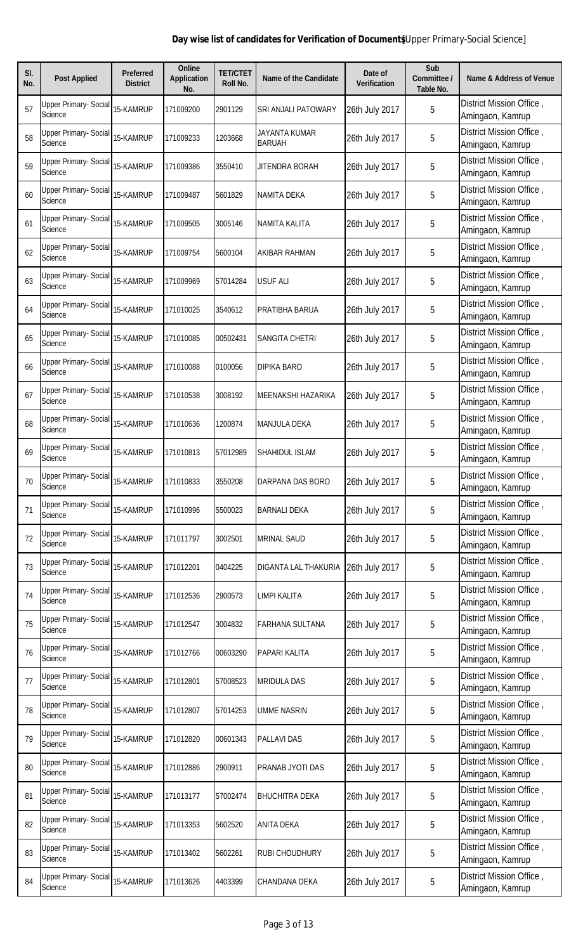| SI.<br>No. | <b>Post Applied</b>                     | <b>Preferred</b><br><b>District</b> | <b>Online</b><br><b>Application</b><br>No. | <b>TET/CTET</b><br>Roll No. | <b>Name of the Candidate</b>   | Date of<br><b>Verification</b> | Sub<br>Committee /<br><b>Table No.</b> | <b>Name &amp; Address of Venue</b>           |
|------------|-----------------------------------------|-------------------------------------|--------------------------------------------|-----------------------------|--------------------------------|--------------------------------|----------------------------------------|----------------------------------------------|
| 57         | <b>Upper Primary- Social</b><br>Science | 15-KAMRUP                           | 171009200                                  | 2901129                     | SRI ANJALI PATOWARY            | 26th July 2017                 | 5                                      | District Mission Office,<br>Amingaon, Kamrup |
| 58         | <b>Upper Primary- Social</b><br>Science | 15-KAMRUP                           | 171009233                                  | 1203668                     | JAYANTA KUMAR<br><b>BARUAH</b> | 26th July 2017                 | 5                                      | District Mission Office,<br>Amingaon, Kamrup |
| 59         | <b>Upper Primary- Social</b><br>Science | 15-KAMRUP                           | 171009386                                  | 3550410                     | JITENDRA BORAH                 | 26th July 2017                 | 5                                      | District Mission Office,<br>Amingaon, Kamrup |
| 60         | <b>Upper Primary- Social</b><br>Science | 15-KAMRUP                           | 171009487                                  | 5601829                     | NAMITA DEKA                    | 26th July 2017                 | 5                                      | District Mission Office,<br>Amingaon, Kamrup |
| 61         | <b>Upper Primary- Social</b><br>Science | 15-KAMRUP                           | 171009505                                  | 3005146                     | NAMITA KALITA                  | 26th July 2017                 | 5                                      | District Mission Office,<br>Amingaon, Kamrup |
| 62         | <b>Upper Primary- Social</b><br>Science | 15-KAMRUP                           | 171009754                                  | 5600104                     | AKIBAR RAHMAN                  | 26th July 2017                 | 5                                      | District Mission Office,<br>Amingaon, Kamrup |
| 63         | <b>Upper Primary- Social</b><br>Science | 15-KAMRUP                           | 171009969                                  | 57014284                    | <b>USUF ALI</b>                | 26th July 2017                 | 5                                      | District Mission Office,<br>Amingaon, Kamrup |
| 64         | <b>Upper Primary- Social</b><br>Science | 15-KAMRUP                           | 171010025                                  | 3540612                     | PRATIBHA BARUA                 | 26th July 2017                 | 5                                      | District Mission Office,<br>Amingaon, Kamrup |
| 65         | <b>Upper Primary- Social</b><br>Science | 15-KAMRUP                           | 171010085                                  | 00502431                    | SANGITA CHETRI                 | 26th July 2017                 | 5                                      | District Mission Office,<br>Amingaon, Kamrup |
| 66         | <b>Upper Primary- Social</b><br>Science | 15-KAMRUP                           | 171010088                                  | 0100056                     | DIPIKA BARO                    | 26th July 2017                 | 5                                      | District Mission Office,<br>Amingaon, Kamrup |
| 67         | <b>Upper Primary- Social</b><br>Science | 15-KAMRUP                           | 171010538                                  | 3008192                     | MEENAKSHI HAZARIKA             | 26th July 2017                 | 5                                      | District Mission Office,<br>Amingaon, Kamrup |
| 68         | <b>Upper Primary- Social</b><br>Science | 15-KAMRUP                           | 171010636                                  | 1200874                     | <b>MANJULA DEKA</b>            | 26th July 2017                 | 5                                      | District Mission Office,<br>Amingaon, Kamrup |
| 69         | <b>Upper Primary- Social</b><br>Science | 15-KAMRUP                           | 171010813                                  | 57012989                    | SHAHIDUL ISLAM                 | 26th July 2017                 | 5                                      | District Mission Office,<br>Amingaon, Kamrup |
| 70         | Upper Primary- Social<br>Science        | 15-KAMRUP                           | 171010833                                  | 3550208                     | DARPANA DAS BORO               | 26th July 2017                 | 5                                      | District Mission Office,<br>Amingaon, Kamrup |
| 71         | <b>Upper Primary- Social</b><br>Science | 15-KAMRUP                           | 171010996                                  | 5500023                     | <b>BARNALI DEKA</b>            | 26th July 2017                 | 5                                      | District Mission Office,<br>Amingaon, Kamrup |
| 72         | <b>Upper Primary- Social</b><br>Science | 15-KAMRUP                           | 171011797                                  | 3002501                     | <b>MRINAL SAUD</b>             | 26th July 2017                 | 5                                      | District Mission Office,<br>Amingaon, Kamrup |
| 73         | <b>Upper Primary- Social</b><br>Science | 15-KAMRUP                           | 171012201                                  | 0404225                     | DIGANTA LAL THAKURIA           | 26th July 2017                 | $\overline{5}$                         | District Mission Office,<br>Amingaon, Kamrup |
| 74         | <b>Upper Primary- Social</b><br>Science | 15-KAMRUP                           | 171012536                                  | 2900573                     | LIMPI KALITA                   | 26th July 2017                 | 5                                      | District Mission Office,<br>Amingaon, Kamrup |
| 75         | <b>Upper Primary- Social</b><br>Science | 15-KAMRUP                           | 171012547                                  | 3004832                     | FARHANA SULTANA                | 26th July 2017                 | 5                                      | District Mission Office,<br>Amingaon, Kamrup |
| 76         | <b>Upper Primary- Social</b><br>Science | 15-KAMRUP                           | 171012766                                  | 00603290                    | PAPARI KALITA                  | 26th July 2017                 | 5                                      | District Mission Office,<br>Amingaon, Kamrup |
| 77         | <b>Upper Primary- Social</b><br>Science | 15-KAMRUP                           | 171012801                                  | 57008523                    | <b>MRIDULA DAS</b>             | 26th July 2017                 | 5                                      | District Mission Office,<br>Amingaon, Kamrup |
| 78         | <b>Upper Primary- Social</b><br>Science | 15-KAMRUP                           | 171012807                                  | 57014253                    | UMME NASRIN                    | 26th July 2017                 | 5                                      | District Mission Office,<br>Amingaon, Kamrup |
| 79         | <b>Upper Primary- Social</b><br>Science | 15-KAMRUP                           | 171012820                                  | 00601343                    | PALLAVI DAS                    | 26th July 2017                 | 5                                      | District Mission Office,<br>Amingaon, Kamrup |
| 80         | <b>Upper Primary- Social</b><br>Science | 15-KAMRUP                           | 171012886                                  | 2900911                     | PRANAB JYOTI DAS               | 26th July 2017                 | 5                                      | District Mission Office,<br>Amingaon, Kamrup |
| 81         | <b>Upper Primary- Social</b><br>Science | 15-KAMRUP                           | 171013177                                  | 57002474                    | <b>BHUCHITRA DEKA</b>          | 26th July 2017                 | 5                                      | District Mission Office,<br>Amingaon, Kamrup |
| 82         | <b>Upper Primary- Social</b><br>Science | 15-KAMRUP                           | 171013353                                  | 5602520                     | <b>ANITA DEKA</b>              | 26th July 2017                 | 5                                      | District Mission Office,<br>Amingaon, Kamrup |
| 83         | <b>Upper Primary- Social</b><br>Science | 15-KAMRUP                           | 171013402                                  | 5602261                     | RUBI CHOUDHURY                 | 26th July 2017                 | 5                                      | District Mission Office,<br>Amingaon, Kamrup |
| 84         | <b>Upper Primary- Social</b><br>Science | 15-KAMRUP                           | 171013626                                  | 4403399                     | CHANDANA DEKA                  | 26th July 2017                 | 5                                      | District Mission Office,<br>Amingaon, Kamrup |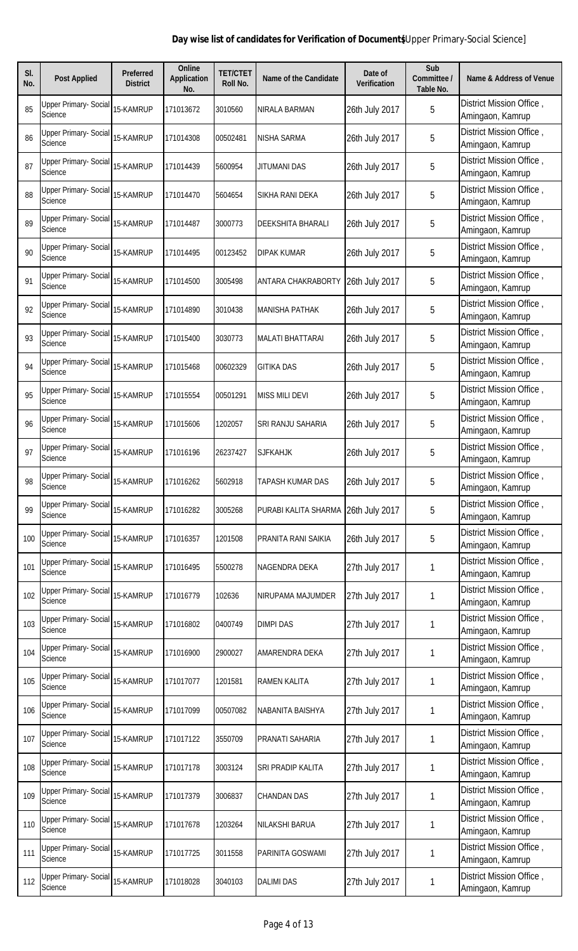| SI.<br>No. | <b>Post Applied</b>                            | <b>Preferred</b><br><b>District</b> | <b>Online</b><br><b>Application</b><br>No. | <b>TET/CTET</b><br>Roll No. | <b>Name of the Candidate</b> | Date of<br><b>Verification</b> | Sub<br>Committee /<br>Table No. | <b>Name &amp; Address of Venue</b>           |
|------------|------------------------------------------------|-------------------------------------|--------------------------------------------|-----------------------------|------------------------------|--------------------------------|---------------------------------|----------------------------------------------|
| 85         | <b>Upper Primary- Social</b><br>Science        | 15-KAMRUP                           | 171013672                                  | 3010560                     | <b>NIRALA BARMAN</b>         | 26th July 2017                 | 5                               | District Mission Office,<br>Amingaon, Kamrup |
| 86         | Upper Primary- Social<br><b>Science</b>        | 15-KAMRUP                           | 171014308                                  | 00502481                    | NISHA SARMA                  | 26th July 2017                 | 5                               | District Mission Office,<br>Amingaon, Kamrup |
| 87         | Upper Primary- Social<br>Science               | 15-KAMRUP                           | 171014439                                  | 5600954                     | <b>JITUMANI DAS</b>          | 26th July 2017                 | 5                               | District Mission Office,<br>Amingaon, Kamrup |
| 88         | Upper Primary- Social<br>Science               | 15-KAMRUP                           | 171014470                                  | 5604654                     | SIKHA RANI DEKA              | 26th July 2017                 | 5                               | District Mission Office,<br>Amingaon, Kamrup |
| 89         | <b>Upper Primary- Social</b><br>Science        | 15-KAMRUP                           | 171014487                                  | 3000773                     | <b>DEEKSHITA BHARALI</b>     | 26th July 2017                 | 5                               | District Mission Office,<br>Amingaon, Kamrup |
| 90         | Upper Primary- Social<br>Science               | 15-KAMRUP                           | 171014495                                  | 00123452                    | <b>DIPAK KUMAR</b>           | 26th July 2017                 | 5                               | District Mission Office,<br>Amingaon, Kamrup |
| 91         | <b>Upper Primary- Social</b><br>Science        | 15-KAMRUP                           | 171014500                                  | 3005498                     | <b>ANTARA CHAKRABORTY</b>    | 26th July 2017                 | 5                               | District Mission Office,<br>Amingaon, Kamrup |
| 92         | <b>Upper Primary- Social</b><br>Science        | 15-KAMRUP                           | 171014890                                  | 3010438                     | <b>MANISHA PATHAK</b>        | 26th July 2017                 | 5                               | District Mission Office,<br>Amingaon, Kamrup |
| 93         | <b>Upper Primary- Social</b><br><b>Science</b> | 15-KAMRUP                           | 171015400                                  | 3030773                     | <b>MALATI BHATTARAI</b>      | 26th July 2017                 | 5                               | District Mission Office,<br>Amingaon, Kamrup |
| 94         | <b>Upper Primary- Social</b><br>Science        | 15-KAMRUP                           | 171015468                                  | 00602329                    | <b>GITIKA DAS</b>            | 26th July 2017                 | 5                               | District Mission Office,<br>Amingaon, Kamrup |
| 95         | <b>Upper Primary- Social</b><br>Science        | 15-KAMRUP                           | 171015554                                  | 00501291                    | <b>MISS MILI DEVI</b>        | 26th July 2017                 | 5                               | District Mission Office,<br>Amingaon, Kamrup |
| 96         | <b>Upper Primary- Social</b><br>Science        | 15-KAMRUP                           | 171015606                                  | 1202057                     | SRI RANJU SAHARIA            | 26th July 2017                 | 5                               | District Mission Office,<br>Amingaon, Kamrup |
| 97         | <b>Upper Primary- Social</b><br>Science        | 15-KAMRUP                           | 171016196                                  | 26237427                    | <b>SJFKAHJK</b>              | 26th July 2017                 | 5                               | District Mission Office,<br>Amingaon, Kamrup |
| 98         | Upper Primary- Social<br>Science               | 15-KAMRUP                           | 171016262                                  | 5602918                     | <b>TAPASH KUMAR DAS</b>      | 26th July 2017                 | 5                               | District Mission Office,<br>Amingaon, Kamrup |
| 99         | <b>Upper Primary- Social</b><br>Science        | 15-KAMRUP                           | 171016282                                  | 3005268                     | PURABI KALITA SHARMA         | 26th July 2017                 | 5                               | District Mission Office,<br>Amingaon, Kamrup |
| 100        | Upper Primary- Social<br>Science               | 15-KAMRUP                           | 171016357                                  | 1201508                     | PRANITA RANI SAIKIA          | 26th July 2017                 | 5                               | District Mission Office,<br>Amingaon, Kamrup |
| 101        | <b>Upper Primary- Social</b><br>Science        | 15-KAMRUP                           | 171016495                                  | 5500278                     | NAGENDRA DEKA                | 27th July 2017                 | 1                               | District Mission Office,<br>Amingaon, Kamrup |
| 102        | <b>Upper Primary- Social</b><br>Science        | 15-KAMRUP                           | 171016779                                  | 102636                      | NIRUPAMA MAJUMDER            | 27th July 2017                 | 1                               | District Mission Office,<br>Amingaon, Kamrup |
| 103        | <b>Upper Primary- Social</b><br>Science        | 15-KAMRUP                           | 171016802                                  | 0400749                     | <b>DIMPI DAS</b>             | 27th July 2017                 | 1                               | District Mission Office,<br>Amingaon, Kamrup |
| 104        | Upper Primary- Social<br><b>Science</b>        | 15-KAMRUP                           | 171016900                                  | 2900027                     | AMARENDRA DEKA               | 27th July 2017                 | 1                               | District Mission Office,<br>Amingaon, Kamrup |
| 105        | Upper Primary- Social<br>Science               | 15-KAMRUP                           | 171017077                                  | 1201581                     | <b>RAMEN KALITA</b>          | 27th July 2017                 | 1                               | District Mission Office,<br>Amingaon, Kamrup |
| 106        | Upper Primary- Social<br>Science               | 15-KAMRUP                           | 171017099                                  | 00507082                    | NABANITA BAISHYA             | 27th July 2017                 | 1                               | District Mission Office,<br>Amingaon, Kamrup |
| 107        | <b>Upper Primary- Social</b><br>Science        | 15-KAMRUP                           | 171017122                                  | 3550709                     | PRANATI SAHARIA              | 27th July 2017                 | 1                               | District Mission Office,<br>Amingaon, Kamrup |
| 108        | Upper Primary- Social<br>Science               | 15-KAMRUP                           | 171017178                                  | 3003124                     | SRI PRADIP KALITA            | 27th July 2017                 | 1                               | District Mission Office,<br>Amingaon, Kamrup |
| 109        | Upper Primary- Social<br>Science               | 15-KAMRUP                           | 171017379                                  | 3006837                     | <b>CHANDAN DAS</b>           | 27th July 2017                 | 1                               | District Mission Office,<br>Amingaon, Kamrup |
| 110        | <b>Upper Primary- Social</b><br>Science        | 15-KAMRUP                           | 171017678                                  | 1203264                     | <b>NILAKSHI BARUA</b>        | 27th July 2017                 | 1                               | District Mission Office,<br>Amingaon, Kamrup |
| 111        | <b>Upper Primary- Social</b><br>Science        | 15-KAMRUP                           | 171017725                                  | 3011558                     | PARINITA GOSWAMI             | 27th July 2017                 | 1                               | District Mission Office,<br>Amingaon, Kamrup |
| 112        | <b>Upper Primary- Social</b><br>Science        | 15-KAMRUP                           | 171018028                                  | 3040103                     | <b>DALIMI DAS</b>            | 27th July 2017                 | 1                               | District Mission Office,<br>Amingaon, Kamrup |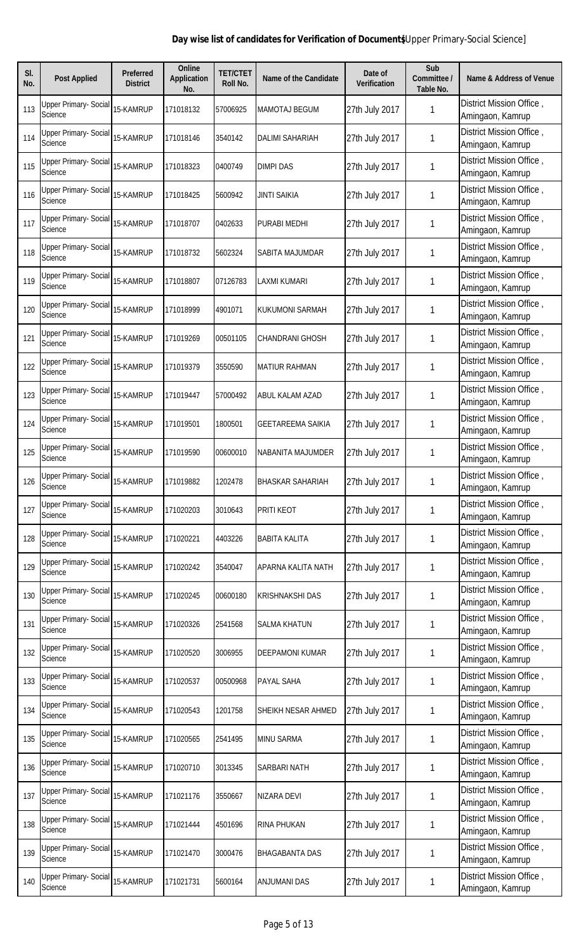| SI.<br>No. | <b>Post Applied</b>                            | <b>Preferred</b><br><b>District</b> | <b>Online</b><br><b>Application</b><br>No. | <b>TET/CTET</b><br>Roll No. | <b>Name of the Candidate</b> | Date of<br><b>Verification</b> | Sub<br>Committee /<br>Table No. | <b>Name &amp; Address of Venue</b>           |
|------------|------------------------------------------------|-------------------------------------|--------------------------------------------|-----------------------------|------------------------------|--------------------------------|---------------------------------|----------------------------------------------|
| 113        | <b>Upper Primary- Social</b><br><b>Science</b> | 15-KAMRUP                           | 171018132                                  | 57006925                    | <b>MAMOTAJ BEGUM</b>         | 27th July 2017                 | 1                               | District Mission Office,<br>Amingaon, Kamrup |
| 114        | Upper Primary- Social<br><b>Science</b>        | 15-KAMRUP                           | 171018146                                  | 3540142                     | <b>DALIMI SAHARIAH</b>       | 27th July 2017                 | 1                               | District Mission Office,<br>Amingaon, Kamrup |
| 115        | Upper Primary- Social<br>Science               | 15-KAMRUP                           | 171018323                                  | 0400749                     | <b>DIMPI DAS</b>             | 27th July 2017                 | 1                               | District Mission Office,<br>Amingaon, Kamrup |
| 116        | Upper Primary- Social<br>Science               | 15-KAMRUP                           | 171018425                                  | 5600942                     | <b>JINTI SAIKIA</b>          | 27th July 2017                 | 1                               | District Mission Office,<br>Amingaon, Kamrup |
| 117        | <b>Upper Primary- Social</b><br>Science        | 15-KAMRUP                           | 171018707                                  | 0402633                     | PURABI MEDHI                 | 27th July 2017                 | 1                               | District Mission Office,<br>Amingaon, Kamrup |
| 118        | Upper Primary- Social<br>Science               | 15-KAMRUP                           | 171018732                                  | 5602324                     | SABITA MAJUMDAR              | 27th July 2017                 | 1                               | District Mission Office,<br>Amingaon, Kamrup |
| 119        | <b>Upper Primary- Social</b><br>Science        | 15-KAMRUP                           | 171018807                                  | 07126783                    | LAXMI KUMARI                 | 27th July 2017                 | 1                               | District Mission Office,<br>Amingaon, Kamrup |
| 120        | <b>Upper Primary- Social</b><br>Science        | 15-KAMRUP                           | 171018999                                  | 4901071                     | <b>KUKUMONI SARMAH</b>       | 27th July 2017                 |                                 | District Mission Office,<br>Amingaon, Kamrup |
| 121        | <b>Upper Primary- Social</b><br>Science        | 15-KAMRUP                           | 171019269                                  | 00501105                    | <b>CHANDRANI GHOSH</b>       | 27th July 2017                 | 1                               | District Mission Office,<br>Amingaon, Kamrup |
| 122        | <b>Upper Primary- Social</b><br>Science        | 15-KAMRUP                           | 171019379                                  | 3550590                     | <b>MATIUR RAHMAN</b>         | 27th July 2017                 | 1                               | District Mission Office,<br>Amingaon, Kamrup |
| 123        | <b>Upper Primary- Social</b><br>Science        | 15-KAMRUP                           | 171019447                                  | 57000492                    | ABUL KALAM AZAD              | 27th July 2017                 | 1                               | District Mission Office,<br>Amingaon, Kamrup |
| 124        | <b>Upper Primary- Social</b><br>Science        | 15-KAMRUP                           | 171019501                                  | 1800501                     | <b>GEETAREEMA SAIKIA</b>     | 27th July 2017                 | 1                               | District Mission Office,<br>Amingaon, Kamrup |
| 125        | <b>Upper Primary- Social</b><br>Science        | 15-KAMRUP                           | 171019590                                  | 00600010                    | NABANITA MAJUMDER            | 27th July 2017                 | 1                               | District Mission Office,<br>Amingaon, Kamrup |
| 126        | <b>Upper Primary- Social</b><br>Science        | 15-KAMRUP                           | 171019882                                  | 1202478                     | <b>BHASKAR SAHARIAH</b>      | 27th July 2017                 | 1                               | District Mission Office,<br>Amingaon, Kamrup |
| 127        | <b>Upper Primary- Social</b><br><b>Science</b> | 15-KAMRUP                           | 171020203                                  | 3010643                     | <b>PRITI KEOT</b>            | 27th July 2017                 | 1                               | District Mission Office,<br>Amingaon, Kamrup |
| 128        | Upper Primary- Social<br>Science               | 15-KAMRUP                           | 171020221                                  | 4403226                     | <b>BABITA KALITA</b>         | 27th July 2017                 | 1                               | District Mission Office,<br>Amingaon, Kamrup |
| 129        | <b>Upper Primary- Social</b><br><b>Science</b> | 15-KAMRUP                           | 171020242                                  | 3540047                     | APARNA KALITA NATH           | 27th July 2017                 | 1                               | District Mission Office,<br>Amingaon, Kamrup |
| 130        | <b>Upper Primary- Social</b><br>Science        | 15-KAMRUP                           | 171020245                                  | 00600180                    | <b>KRISHNAKSHI DAS</b>       | 27th July 2017                 | 1                               | District Mission Office,<br>Amingaon, Kamrup |
| 131        | <b>Upper Primary- Social</b><br>Science        | 15-KAMRUP                           | 171020326                                  | 2541568                     | <b>SALMA KHATUN</b>          | 27th July 2017                 | 1                               | District Mission Office,<br>Amingaon, Kamrup |
| 132        | Upper Primary- Social<br><b>Science</b>        | 15-KAMRUP                           | 171020520                                  | 3006955                     | <b>DEEPAMONI KUMAR</b>       | 27th July 2017                 | 1                               | District Mission Office,<br>Amingaon, Kamrup |
| 133        | Upper Primary- Social<br>Science               | 15-KAMRUP                           | 171020537                                  | 00500968                    | PAYAL SAHA                   | 27th July 2017                 | 1                               | District Mission Office,<br>Amingaon, Kamrup |
| 134        | Upper Primary- Social<br>Science               | 15-KAMRUP                           | 171020543                                  | 1201758                     | SHEIKH NESAR AHMED           | 27th July 2017                 | 1                               | District Mission Office,<br>Amingaon, Kamrup |
| 135        | Upper Primary- Social<br>Science               | 15-KAMRUP                           | 171020565                                  | 2541495                     | <b>MINU SARMA</b>            | 27th July 2017                 | 1                               | District Mission Office,<br>Amingaon, Kamrup |
| 136        | Upper Primary- Social<br>Science               | 15-KAMRUP                           | 171020710                                  | 3013345                     | SARBARI NATH                 | 27th July 2017                 | 1                               | District Mission Office,<br>Amingaon, Kamrup |
| 137        | <b>Upper Primary- Social</b><br><b>Science</b> | 15-KAMRUP                           | 171021176                                  | 3550667                     | NIZARA DEVI                  | 27th July 2017                 | 1                               | District Mission Office,<br>Amingaon, Kamrup |
| 138        | <b>Upper Primary- Social</b><br>Science        | 15-KAMRUP                           | 171021444                                  | 4501696                     | <b>RINA PHUKAN</b>           | 27th July 2017                 | 1                               | District Mission Office,<br>Amingaon, Kamrup |
| 139        | <b>Upper Primary- Social</b><br>Science        | 15-KAMRUP                           | 171021470                                  | 3000476                     | <b>BHAGABANTA DAS</b>        | 27th July 2017                 | 1                               | District Mission Office,<br>Amingaon, Kamrup |
| 140        | <b>Upper Primary- Social</b><br>Science        | 15-KAMRUP                           | 171021731                                  | 5600164                     | <b>ANJUMANI DAS</b>          | 27th July 2017                 | 1                               | District Mission Office,<br>Amingaon, Kamrup |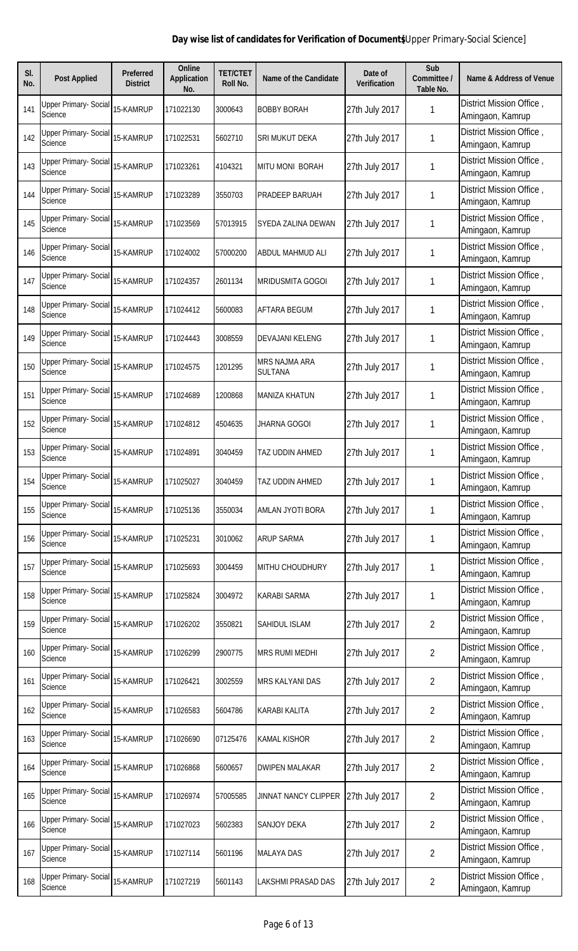| SI.<br>No. | <b>Post Applied</b>                            | <b>Preferred</b><br><b>District</b> | Online<br><b>Application</b><br>No. | <b>TET/CTET</b><br>Roll No. | <b>Name of the Candidate</b>    | Date of<br><b>Verification</b> | Sub<br>Committee /<br>Table No. | <b>Name &amp; Address of Venue</b>           |
|------------|------------------------------------------------|-------------------------------------|-------------------------------------|-----------------------------|---------------------------------|--------------------------------|---------------------------------|----------------------------------------------|
| 141        | <b>Upper Primary- Social</b><br>Science        | 15-KAMRUP                           | 171022130                           | 3000643                     | <b>BOBBY BORAH</b>              | 27th July 2017                 | 1                               | District Mission Office,<br>Amingaon, Kamrup |
| 142        | Upper Primary- Social<br>Science               | 15-KAMRUP                           | 171022531                           | 5602710                     | SRI MUKUT DEKA                  | 27th July 2017                 | 1                               | District Mission Office,<br>Amingaon, Kamrup |
| 143        | Upper Primary- Social<br>Science               | 15-KAMRUP                           | 171023261                           | 4104321                     | <b>MITU MONI BORAH</b>          | 27th July 2017                 | 1                               | District Mission Office,<br>Amingaon, Kamrup |
| 144        | Upper Primary- Social<br>Science               | 15-KAMRUP                           | 171023289                           | 3550703                     | PRADEEP BARUAH                  | 27th July 2017                 | 1                               | District Mission Office,<br>Amingaon, Kamrup |
| 145        | Upper Primary- Social<br>Science               | 15-KAMRUP                           | 171023569                           | 57013915                    | SYEDA ZALINA DEWAN              | 27th July 2017                 | 1                               | District Mission Office,<br>Amingaon, Kamrup |
| 146        | Upper Primary- Social<br>Science               | 15-KAMRUP                           | 171024002                           | 57000200                    | <b>ABDUL MAHMUD ALI</b>         | 27th July 2017                 | 1                               | District Mission Office,<br>Amingaon, Kamrup |
| 147        | <b>Upper Primary- Social</b><br>Science        | 15-KAMRUP                           | 171024357                           | 2601134                     | <b>MRIDUSMITA GOGOI</b>         | 27th July 2017                 | 1                               | District Mission Office,<br>Amingaon, Kamrup |
| 148        | <b>Upper Primary- Social</b><br>Science        | 15-KAMRUP                           | 171024412                           | 5600083                     | AFTARA BEGUM                    | 27th July 2017                 | 1                               | District Mission Office,<br>Amingaon, Kamrup |
| 149        | <b>Upper Primary- Social</b><br>Science        | 15-KAMRUP                           | 171024443                           | 3008559                     | <b>DEVAJANI KELENG</b>          | 27th July 2017                 | 1                               | District Mission Office,<br>Amingaon, Kamrup |
| 150        | <b>Upper Primary- Social</b><br>Science        | 15-KAMRUP                           | 171024575                           | 1201295                     | MRS NAJMA ARA<br><b>SULTANA</b> | 27th July 2017                 | 1                               | District Mission Office,<br>Amingaon, Kamrup |
| 151        | <b>Upper Primary- Social</b><br><b>Science</b> | 15-KAMRUP                           | 171024689                           | 1200868                     | <b>MANIZA KHATUN</b>            | 27th July 2017                 | 1                               | District Mission Office,<br>Amingaon, Kamrup |
| 152        | <b>Upper Primary- Social</b><br>Science        | 15-KAMRUP                           | 171024812                           | 4504635                     | <b>JHARNA GOGOI</b>             | 27th July 2017                 | 1                               | District Mission Office,<br>Amingaon, Kamrup |
| 153        | <b>Upper Primary- Social</b><br>Science        | 15-KAMRUP                           | 171024891                           | 3040459                     | TAZ UDDIN AHMED                 | 27th July 2017                 | 1                               | District Mission Office,<br>Amingaon, Kamrup |
| 154        | <b>Upper Primary- Social</b><br>Science        | 15-KAMRUP                           | 171025027                           | 3040459                     | <b>TAZ UDDIN AHMED</b>          | 27th July 2017                 | 1                               | District Mission Office,<br>Amingaon, Kamrup |
| 155        | Upper Primary- Social<br><b>Science</b>        | 15-KAMRUP                           | 171025136                           | 3550034                     | AMLAN JYOTI BORA                | 27th July 2017                 | 1                               | District Mission Office,<br>Amingaon, Kamrup |
| 156        | Upper Primary- Social<br><b>Science</b>        | 15-KAMRUP                           | 171025231                           | 3010062                     | <b>ARUP SARMA</b>               | 27th July 2017                 | 1                               | District Mission Office,<br>Amingaon, Kamrup |
| 157        | <b>Upper Primary- Social</b><br>Science        | 15-KAMRUP                           | 171025693                           | 3004459                     | <b>MITHU CHOUDHURY</b>          | 27th July 2017                 | 1                               | District Mission Office,<br>Amingaon, Kamrup |
| 158        | Upper Primary- Social<br><b>Science</b>        | 15-KAMRUP                           | 171025824                           | 3004972                     | <b>KARABI SARMA</b>             | 27th July 2017                 | 1                               | District Mission Office,<br>Amingaon, Kamrup |
| 159        | Upper Primary- Social<br><b>Science</b>        | 15-KAMRUP                           | 171026202                           | 3550821                     | SAHIDUL ISLAM                   | 27th July 2017                 | $\overline{2}$                  | District Mission Office,<br>Amingaon, Kamrup |
| 160        | Upper Primary- Social<br>Science               | 15-KAMRUP                           | 171026299                           | 2900775                     | <b>MRS RUMI MEDHI</b>           | 27th July 2017                 | $\overline{2}$                  | District Mission Office,<br>Amingaon, Kamrup |
| 161        | Upper Primary- Social<br>Science               | 15-KAMRUP                           | 171026421                           | 3002559                     | <b>MRS KALYANI DAS</b>          | 27th July 2017                 | $\overline{2}$                  | District Mission Office,<br>Amingaon, Kamrup |
| 162        | Upper Primary- Social<br>Science               | 15-KAMRUP                           | 171026583                           | 5604786                     | <b>KARABI KALITA</b>            | 27th July 2017                 | $\overline{2}$                  | District Mission Office,<br>Amingaon, Kamrup |
| 163        | Upper Primary- Social<br>Science               | 15-KAMRUP                           | 171026690                           | 07125476                    | <b>KAMAL KISHOR</b>             | 27th July 2017                 | $\overline{2}$                  | District Mission Office,<br>Amingaon, Kamrup |
| 164        | Upper Primary- Social<br>Science               | 15-KAMRUP                           | 171026868                           | 5600657                     | <b>DWIPEN MALAKAR</b>           | 27th July 2017                 | $\overline{2}$                  | District Mission Office,<br>Amingaon, Kamrup |
| 165        | <b>Upper Primary- Social</b><br>Science        | 15-KAMRUP                           | 171026974                           | 57005585                    | <b>JINNAT NANCY CLIPPER</b>     | 27th July 2017                 | $\overline{2}$                  | District Mission Office,<br>Amingaon, Kamrup |
| 166        | <b>Upper Primary- Social</b><br>Science        | 15-KAMRUP                           | 171027023                           | 5602383                     | <b>SANJOY DEKA</b>              | 27th July 2017                 | $\overline{2}$                  | District Mission Office,<br>Amingaon, Kamrup |
| 167        | <b>Upper Primary- Social</b><br>Science        | 15-KAMRUP                           | 171027114                           | 5601196                     | <b>MALAYA DAS</b>               | 27th July 2017                 | $\overline{2}$                  | District Mission Office,<br>Amingaon, Kamrup |
| 168        | <b>Upper Primary- Social</b><br>Science        | 15-KAMRUP                           | 171027219                           | 5601143                     | LAKSHMI PRASAD DAS              | 27th July 2017                 | $\overline{2}$                  | District Mission Office,<br>Amingaon, Kamrup |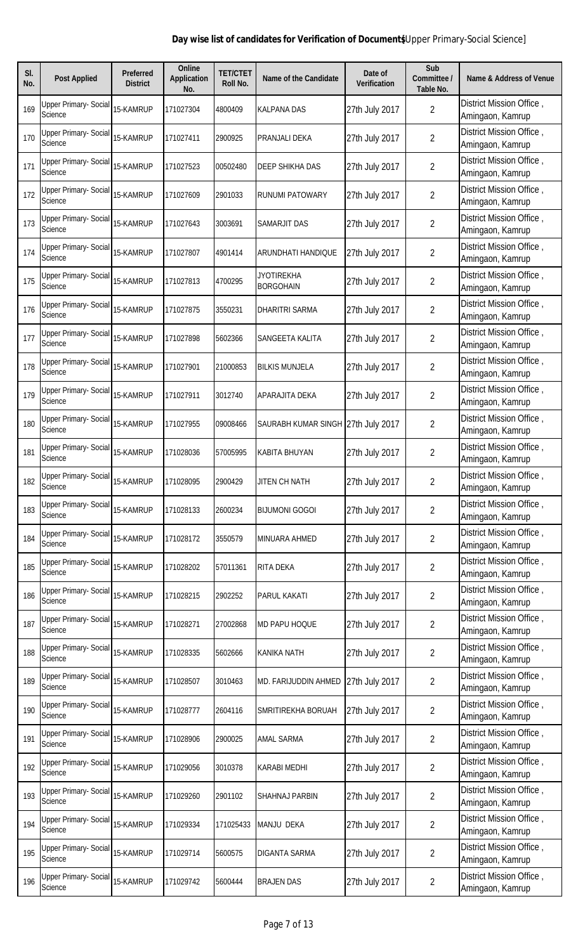| SI.<br>No. | <b>Post Applied</b>                            | <b>Preferred</b><br><b>District</b> | <b>Online</b><br><b>Application</b><br>No. | <b>TET/CTET</b><br>Roll No. | <b>Name of the Candidate</b>          | Date of<br><b>Verification</b> | Sub<br>Committee /<br>Table No. | <b>Name &amp; Address of Venue</b>           |
|------------|------------------------------------------------|-------------------------------------|--------------------------------------------|-----------------------------|---------------------------------------|--------------------------------|---------------------------------|----------------------------------------------|
| 169        | Upper Primary- Social<br><b>Science</b>        | 15-KAMRUP                           | 171027304                                  | 4800409                     | <b>KALPANA DAS</b>                    | 27th July 2017                 | $\overline{2}$                  | District Mission Office,<br>Amingaon, Kamrup |
| 170        | Upper Primary- Social<br>Science               | 15-KAMRUP                           | 171027411                                  | 2900925                     | PRANJALI DEKA                         | 27th July 2017                 | $\overline{2}$                  | District Mission Office,<br>Amingaon, Kamrup |
| 171        | <b>Upper Primary- Social</b><br>Science        | 15-KAMRUP                           | 171027523                                  | 00502480                    | <b>DEEP SHIKHA DAS</b>                | 27th July 2017                 | $\overline{2}$                  | District Mission Office,<br>Amingaon, Kamrup |
| 172        | <b>Upper Primary- Social</b><br>Science        | 15-KAMRUP                           | 171027609                                  | 2901033                     | <b>RUNUMI PATOWARY</b>                | 27th July 2017                 | $\overline{2}$                  | District Mission Office,<br>Amingaon, Kamrup |
| 173        | Upper Primary- Social<br>Science               | 15-KAMRUP                           | 171027643                                  | 3003691                     | SAMARJIT DAS                          | 27th July 2017                 | $\overline{2}$                  | District Mission Office,<br>Amingaon, Kamrup |
| 174        | Upper Primary- Social<br><b>Science</b>        | 15-KAMRUP                           | 171027807                                  | 4901414                     | ARUNDHATI HANDIQUE                    | 27th July 2017                 | $\overline{2}$                  | District Mission Office,<br>Amingaon, Kamrup |
| 175        | <b>Upper Primary- Social</b><br><b>Science</b> | 15-KAMRUP                           | 171027813                                  | 4700295                     | <b>JYOTIREKHA</b><br><b>BORGOHAIN</b> | 27th July 2017                 | $\overline{2}$                  | District Mission Office,<br>Amingaon, Kamrup |
| 176        | <b>Upper Primary- Social</b><br>Science        | 15-KAMRUP                           | 171027875                                  | 3550231                     | DHARITRI SARMA                        | 27th July 2017                 | $\overline{2}$                  | District Mission Office,<br>Amingaon, Kamrup |
| 177        | <b>Upper Primary- Social</b><br>Science        | 15-KAMRUP                           | 171027898                                  | 5602366                     | SANGEETA KALITA                       | 27th July 2017                 | $\overline{2}$                  | District Mission Office,<br>Amingaon, Kamrup |
| 178        | <b>Upper Primary- Social</b><br>Science        | 15-KAMRUP                           | 171027901                                  | 21000853                    | <b>BILKIS MUNJELA</b>                 | 27th July 2017                 | $\overline{2}$                  | District Mission Office,<br>Amingaon, Kamrup |
| 179        | <b>Upper Primary- Social</b><br><b>Science</b> | 15-KAMRUP                           | 171027911                                  | 3012740                     | APARAJITA DEKA                        | 27th July 2017                 | $\overline{2}$                  | District Mission Office,<br>Amingaon, Kamrup |
| 180        | <b>Upper Primary- Social</b><br>Science        | 15-KAMRUP                           | 171027955                                  | 09008466                    | SAURABH KUMAR SINGH 27th July 2017    |                                | $\overline{2}$                  | District Mission Office,<br>Amingaon, Kamrup |
| 181        | <b>Upper Primary- Social</b><br>Science        | 15-KAMRUP                           | 171028036                                  | 57005995                    | <b>KABITA BHUYAN</b>                  | 27th July 2017                 | $\overline{2}$                  | District Mission Office,<br>Amingaon, Kamrup |
| 182        | <b>Upper Primary- Social</b><br>Science        | 15-KAMRUP                           | 171028095                                  | 2900429                     | <b>JITEN CH NATH</b>                  | 27th July 2017                 | $\overline{2}$                  | District Mission Office,<br>Amingaon, Kamrup |
| 183        | Upper Primary- Social<br><b>Science</b>        | 15-KAMRUP                           | 171028133                                  | 2600234                     | <b>BIJUMONI GOGOI</b>                 | 27th July 2017                 | $\overline{2}$                  | District Mission Office,<br>Amingaon, Kamrup |
| 184        | Upper Primary- Social<br><b>Science</b>        | 15-KAMRUP                           | 171028172                                  | 3550579                     | MINUARA AHMED                         | 27th July 2017                 | $\overline{2}$                  | District Mission Office,<br>Amingaon, Kamrup |
| 185        | <b>Upper Primary- Social</b><br>Science        | 15-KAMRUP                           | 171028202                                  | 57011361                    | <b>RITA DEKA</b>                      | 27th July 2017                 | $\overline{2}$                  | District Mission Office,<br>Amingaon, Kamrup |
| 186        | <b>Upper Primary- Social</b><br>Science        | 15-KAMRUP                           | 171028215                                  | 2902252                     | <b>PARUL KAKATI</b>                   | 27th July 2017                 | $\overline{2}$                  | District Mission Office,<br>Amingaon, Kamrup |
| 187        | Upper Primary- Social<br><b>Science</b>        | 15-KAMRUP                           | 171028271                                  | 27002868                    | MD PAPU HOQUE                         | 27th July 2017                 | $\overline{2}$                  | District Mission Office,<br>Amingaon, Kamrup |
| 188        | Upper Primary- Social<br><b>Science</b>        | 15-KAMRUP                           | 171028335                                  | 5602666                     | <b>KANIKA NATH</b>                    | 27th July 2017                 | $\overline{2}$                  | District Mission Office,<br>Amingaon, Kamrup |
| 189        | Upper Primary- Social<br>Science               | 15-KAMRUP                           | 171028507                                  | 3010463                     | MD. FARIJUDDIN AHMED                  | 27th July 2017                 | $\overline{2}$                  | District Mission Office,<br>Amingaon, Kamrup |
| 190        | Upper Primary- Social<br>Science               | 15-KAMRUP                           | 171028777                                  | 2604116                     | SMRITIREKHA BORUAH                    | 27th July 2017                 | $\overline{2}$                  | District Mission Office,<br>Amingaon, Kamrup |
| 191        | <b>Upper Primary- Social</b><br>Science        | 15-KAMRUP                           | 171028906                                  | 2900025                     | <b>AMAL SARMA</b>                     | 27th July 2017                 | $\overline{2}$                  | District Mission Office,<br>Amingaon, Kamrup |
| 192        | Upper Primary- Social<br><b>Science</b>        | 15-KAMRUP                           | 171029056                                  | 3010378                     | <b>KARABI MEDHI</b>                   | 27th July 2017                 | $\overline{2}$                  | District Mission Office,<br>Amingaon, Kamrup |
| 193        | <b>Upper Primary- Social</b><br>Science        | 15-KAMRUP                           | 171029260                                  | 2901102                     | SHAHNAJ PARBIN                        | 27th July 2017                 | $\overline{2}$                  | District Mission Office,<br>Amingaon, Kamrup |
| 194        | <b>Upper Primary- Social</b><br>Science        | 15-KAMRUP                           | 171029334                                  | 171025433                   | MANJU DEKA                            | 27th July 2017                 | $\overline{2}$                  | District Mission Office,<br>Amingaon, Kamrup |
| 195        | <b>Upper Primary- Social</b><br>Science        | 15-KAMRUP                           | 171029714                                  | 5600575                     | <b>DIGANTA SARMA</b>                  | 27th July 2017                 | $\overline{2}$                  | District Mission Office,<br>Amingaon, Kamrup |
| 196        | <b>Upper Primary- Social</b><br>Science        | 15-KAMRUP                           | 171029742                                  | 5600444                     | <b>BRAJEN DAS</b>                     | 27th July 2017                 | $\overline{2}$                  | District Mission Office,<br>Amingaon, Kamrup |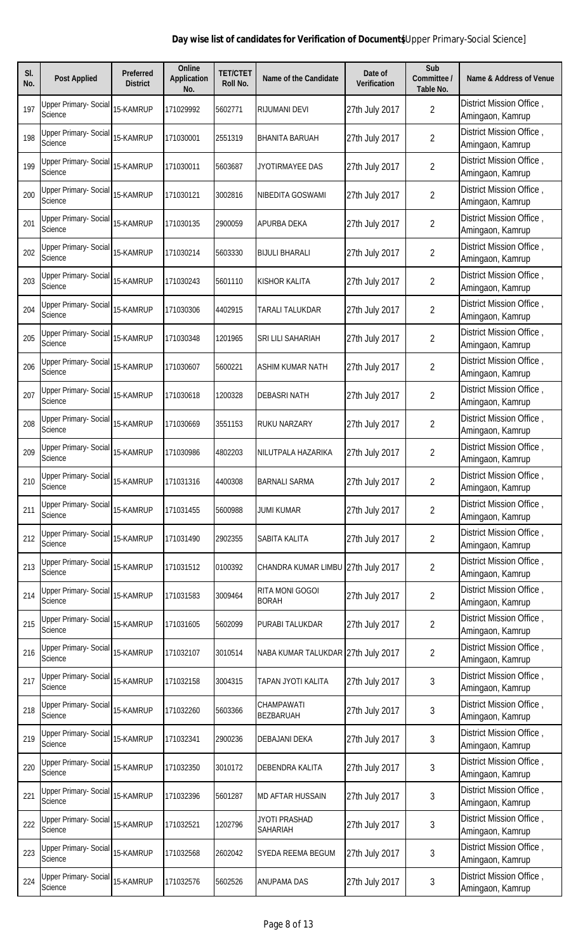| SI.<br>No. | <b>Post Applied</b>                            | <b>Preferred</b><br><b>District</b> | <b>Online</b><br><b>Application</b><br>No. | <b>TET/CTET</b><br>Roll No. | <b>Name of the Candidate</b>           | Date of<br><b>Verification</b> | Sub<br>Committee /<br>Table No. | <b>Name &amp; Address of Venue</b>           |
|------------|------------------------------------------------|-------------------------------------|--------------------------------------------|-----------------------------|----------------------------------------|--------------------------------|---------------------------------|----------------------------------------------|
| 197        | <b>Upper Primary- Social</b><br><b>Science</b> | 15-KAMRUP                           | 171029992                                  | 5602771                     | <b>RIJUMANI DEVI</b>                   | 27th July 2017                 | $\overline{2}$                  | District Mission Office,<br>Amingaon, Kamrup |
| 198        | Upper Primary- Social<br><b>Science</b>        | 15-KAMRUP                           | 171030001                                  | 2551319                     | <b>BHANITA BARUAH</b>                  | 27th July 2017                 | $\overline{2}$                  | District Mission Office,<br>Amingaon, Kamrup |
| 199        | <b>Upper Primary- Social</b><br>Science        | 15-KAMRUP                           | 171030011                                  | 5603687                     | JYOTIRMAYEE DAS                        | 27th July 2017                 | $\overline{2}$                  | District Mission Office,<br>Amingaon, Kamrup |
| 200        | Upper Primary- Social<br>Science               | 15-KAMRUP                           | 171030121                                  | 3002816                     | NIBEDITA GOSWAMI                       | 27th July 2017                 | $\overline{2}$                  | District Mission Office,<br>Amingaon, Kamrup |
| 201        | Upper Primary- Social<br>Science               | 15-KAMRUP                           | 171030135                                  | 2900059                     | <b>APURBA DEKA</b>                     | 27th July 2017                 | $\overline{2}$                  | District Mission Office,<br>Amingaon, Kamrup |
| 202        | Upper Primary- Social<br>Science               | 15-KAMRUP                           | 171030214                                  | 5603330                     | <b>BIJULI BHARALI</b>                  | 27th July 2017                 | $\overline{2}$                  | District Mission Office,<br>Amingaon, Kamrup |
| 203        | Upper Primary- Social<br>Science               | 15-KAMRUP                           | 171030243                                  | 5601110                     | <b>KISHOR KALITA</b>                   | 27th July 2017                 | $\overline{2}$                  | District Mission Office,<br>Amingaon, Kamrup |
| 204        | Upper Primary- Social<br>Science               | 15-KAMRUP                           | 171030306                                  | 4402915                     | TARALI TALUKDAR                        | 27th July 2017                 | $\overline{2}$                  | District Mission Office,<br>Amingaon, Kamrup |
| 205        | <b>Upper Primary- Social</b><br>Science        | 15-KAMRUP                           | 171030348                                  | 1201965                     | <b>SRI LILI SAHARIAH</b>               | 27th July 2017                 | $\overline{2}$                  | District Mission Office,<br>Amingaon, Kamrup |
| 206        | Upper Primary- Social<br>Science               | 15-KAMRUP                           | 171030607                                  | 5600221                     | <b>ASHIM KUMAR NATH</b>                | 27th July 2017                 | $\overline{2}$                  | District Mission Office,<br>Amingaon, Kamrup |
| 207        | <b>Upper Primary- Social</b><br>Science        | 15-KAMRUP                           | 171030618                                  | 1200328                     | <b>DEBASRI NATH</b>                    | 27th July 2017                 | $\overline{2}$                  | District Mission Office,<br>Amingaon, Kamrup |
| 208        | <b>Upper Primary- Social</b><br>Science        | 15-KAMRUP                           | 171030669                                  | 3551153                     | <b>RUKU NARZARY</b>                    | 27th July 2017                 | $\overline{2}$                  | District Mission Office,<br>Amingaon, Kamrup |
| 209        | <b>Upper Primary- Social</b><br>Science        | 15-KAMRUP                           | 171030986                                  | 4802203                     | NILUTPALA HAZARIKA                     | 27th July 2017                 | $\overline{2}$                  | District Mission Office,<br>Amingaon, Kamrup |
| 210        | Upper Primary- Social<br>Science               | 15-KAMRUP                           | 171031316                                  | 4400308                     | <b>BARNALI SARMA</b>                   | 27th July 2017                 | 2                               | District Mission Office,<br>Amingaon, Kamrup |
| 211        | <b>Upper Primary- Social</b><br>Science        | 15-KAMRUP                           | 171031455                                  | 5600988                     | <b>JUMI KUMAR</b>                      | 27th July 2017                 | $\overline{2}$                  | District Mission Office,<br>Amingaon, Kamrup |
| 212        | <b>Upper Primary- Social</b><br>Science        | 15-KAMRUP                           | 171031490                                  | 2902355                     | SABITA KALITA                          | 27th July 2017                 | $\overline{2}$                  | District Mission Office,<br>Amingaon, Kamrup |
| 213        | Upper Primary- Social<br>Science               | 15-KAMRUP                           | 171031512                                  | 0100392                     | CHANDRA KUMAR LIMBU                    | 27th July 2017                 | $\overline{2}$                  | District Mission Office,<br>Amingaon, Kamrup |
| 214        | <b>Upper Primary- Social</b><br>Science        | 15-KAMRUP                           | 171031583                                  | 3009464                     | <b>RITA MONI GOGOI</b><br><b>BORAH</b> | 27th July 2017                 | $\overline{2}$                  | District Mission Office,<br>Amingaon, Kamrup |
| 215        | Upper Primary- Social<br>Science               | 15-KAMRUP                           | 171031605                                  | 5602099                     | <b>PURABI TALUKDAR</b>                 | 27th July 2017                 | $\overline{2}$                  | District Mission Office,<br>Amingaon, Kamrup |
| 216        | Upper Primary- Social<br><b>Science</b>        | 15-KAMRUP                           | 171032107                                  | 3010514                     | NABA KUMAR TALUKDAR 27th July 2017     |                                | $\overline{2}$                  | District Mission Office,<br>Amingaon, Kamrup |
| 217        | <b>Upper Primary- Social</b><br>Science        | 15-KAMRUP                           | 171032158                                  | 3004315                     | TAPAN JYOTI KALITA                     | 27th July 2017                 | 3                               | District Mission Office,<br>Amingaon, Kamrup |
| 218        | Upper Primary- Social<br>Science               | 15-KAMRUP                           | 171032260                                  | 5603366                     | CHAMPAWATI<br><b>BEZBARUAH</b>         | 27th July 2017                 | 3                               | District Mission Office,<br>Amingaon, Kamrup |
| 219        | Upper Primary- Social<br>Science               | 15-KAMRUP                           | 171032341                                  | 2900236                     | <b>DEBAJANI DEKA</b>                   | 27th July 2017                 | 3                               | District Mission Office,<br>Amingaon, Kamrup |
| 220        | Upper Primary- Social<br>Science               | 15-KAMRUP                           | 171032350                                  | 3010172                     | DEBENDRA KALITA                        | 27th July 2017                 | 3                               | District Mission Office,<br>Amingaon, Kamrup |
| 221        | <b>Upper Primary- Social</b><br><b>Science</b> | 15-KAMRUP                           | 171032396                                  | 5601287                     | <b>MD AFTAR HUSSAIN</b>                | 27th July 2017                 | 3                               | District Mission Office,<br>Amingaon, Kamrup |
| 222        | <b>Upper Primary- Social</b><br>Science        | 15-KAMRUP                           | 171032521                                  | 1202796                     | <b>JYOTI PRASHAD</b><br>SAHARIAH       | 27th July 2017                 | 3                               | District Mission Office,<br>Amingaon, Kamrup |
| 223        | <b>Upper Primary- Social</b><br>Science        | 15-KAMRUP                           | 171032568                                  | 2602042                     | SYEDA REEMA BEGUM                      | 27th July 2017                 | 3                               | District Mission Office,<br>Amingaon, Kamrup |
| 224        | <b>Upper Primary- Social</b><br>Science        | 15-KAMRUP                           | 171032576                                  | 5602526                     | <b>ANUPAMA DAS</b>                     | 27th July 2017                 | 3                               | District Mission Office,<br>Amingaon, Kamrup |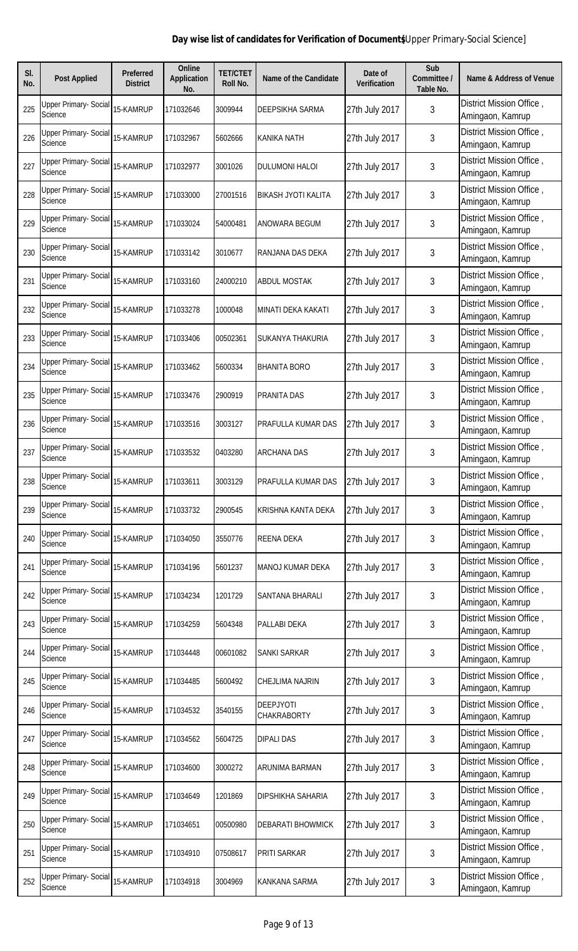| SI.<br>No. | <b>Post Applied</b>                     | <b>Preferred</b><br><b>District</b> | <b>Online</b><br><b>Application</b><br>No. | <b>TET/CTET</b><br>Roll No. | <b>Name of the Candidate</b>    | Date of<br><b>Verification</b> | Sub<br>Committee /<br>Table No. | <b>Name &amp; Address of Venue</b>           |
|------------|-----------------------------------------|-------------------------------------|--------------------------------------------|-----------------------------|---------------------------------|--------------------------------|---------------------------------|----------------------------------------------|
| 225        | Upper Primary- Social<br><b>Science</b> | 15-KAMRUP                           | 171032646                                  | 3009944                     | <b>DEEPSIKHA SARMA</b>          | 27th July 2017                 | 3                               | District Mission Office,<br>Amingaon, Kamrup |
| 226        | Upper Primary- Social<br>Science        | 15-KAMRUP                           | 171032967                                  | 5602666                     | <b>KANIKA NATH</b>              | 27th July 2017                 | 3                               | District Mission Office,<br>Amingaon, Kamrup |
| 227        | <b>Upper Primary- Social</b><br>Science | 15-KAMRUP                           | 171032977                                  | 3001026                     | <b>DULUMONI HALOI</b>           | 27th July 2017                 | 3                               | District Mission Office,<br>Amingaon, Kamrup |
| 228        | Upper Primary- Social<br>Science        | 15-KAMRUP                           | 171033000                                  | 27001516                    | <b>BIKASH JYOTI KALITA</b>      | 27th July 2017                 | 3                               | District Mission Office,<br>Amingaon, Kamrup |
| 229        | Upper Primary- Social<br>Science        | 15-KAMRUP                           | 171033024                                  | 54000481                    | ANOWARA BEGUM                   | 27th July 2017                 | 3                               | District Mission Office,<br>Amingaon, Kamrup |
| 230        | Upper Primary- Social<br>Science        | 15-KAMRUP                           | 171033142                                  | 3010677                     | RANJANA DAS DEKA                | 27th July 2017                 | 3                               | District Mission Office,<br>Amingaon, Kamrup |
| 231        | <b>Upper Primary- Social</b><br>Science | 15-KAMRUP                           | 171033160                                  | 24000210                    | <b>ABDUL MOSTAK</b>             | 27th July 2017                 | 3                               | District Mission Office,<br>Amingaon, Kamrup |
| 232        | <b>Upper Primary- Social</b><br>Science | 15-KAMRUP                           | 171033278                                  | 1000048                     | MINATI DEKA KAKATI              | 27th July 2017                 | 3                               | District Mission Office,<br>Amingaon, Kamrup |
| 233        | <b>Upper Primary- Social</b><br>Science | 15-KAMRUP                           | 171033406                                  | 00502361                    | <b>SUKANYA THAKURIA</b>         | 27th July 2017                 | 3                               | District Mission Office,<br>Amingaon, Kamrup |
| 234        | <b>Upper Primary- Social</b><br>Science | 15-KAMRUP                           | 171033462                                  | 5600334                     | <b>BHANITA BORO</b>             | 27th July 2017                 | 3                               | District Mission Office,<br>Amingaon, Kamrup |
| 235        | <b>Upper Primary- Social</b><br>Science | 15-KAMRUP                           | 171033476                                  | 2900919                     | PRANITA DAS                     | 27th July 2017                 | 3                               | District Mission Office,<br>Amingaon, Kamrup |
| 236        | <b>Upper Primary- Social</b><br>Science | 15-KAMRUP                           | 171033516                                  | 3003127                     | PRAFULLA KUMAR DAS              | 27th July 2017                 | 3                               | District Mission Office,<br>Amingaon, Kamrup |
| 237        | <b>Upper Primary- Social</b><br>Science | 15-KAMRUP                           | 171033532                                  | 0403280                     | <b>ARCHANA DAS</b>              | 27th July 2017                 | 3                               | District Mission Office,<br>Amingaon, Kamrup |
| 238        | <b>Upper Primary- Social</b><br>Science | 15-KAMRUP                           | 171033611                                  | 3003129                     | PRAFULLA KUMAR DAS              | 27th July 2017                 | 3                               | District Mission Office,<br>Amingaon, Kamrup |
| 239        | <b>Upper Primary- Social</b><br>Science | 15-KAMRUP                           | 171033732                                  | 2900545                     | KRISHNA KANTA DEKA              | 27th July 2017                 | 3                               | District Mission Office,<br>Amingaon, Kamrup |
| 240        | <b>Upper Primary- Social</b><br>Science | 15-KAMRUP                           | 171034050                                  | 3550776                     | REENA DEKA                      | 27th July 2017                 | 3                               | District Mission Office,<br>Amingaon, Kamrup |
| 241        | <b>Upper Primary- Social</b><br>Science | 15-KAMRUP                           | 171034196                                  | 5601237                     | MANOJ KUMAR DEKA                | 27th July 2017                 | 3                               | District Mission Office,<br>Amingaon, Kamrup |
| 242        | <b>Upper Primary- Social</b><br>Science | 15-KAMRUP                           | 171034234                                  | 1201729                     | <b>SANTANA BHARALI</b>          | 27th July 2017                 | 3                               | District Mission Office,<br>Amingaon, Kamrup |
| 243        | <b>Upper Primary- Social</b><br>Science | 15-KAMRUP                           | 171034259                                  | 5604348                     | PALLABI DEKA                    | 27th July 2017                 | 3                               | District Mission Office,<br>Amingaon, Kamrup |
| 244        | Upper Primary- Social<br><b>Science</b> | 15-KAMRUP                           | 171034448                                  | 00601082                    | <b>SANKI SARKAR</b>             | 27th July 2017                 | 3                               | District Mission Office,<br>Amingaon, Kamrup |
| 245        | Upper Primary- Social<br>Science        | 15-KAMRUP                           | 171034485                                  | 5600492                     | <b>CHEJLIMA NAJRIN</b>          | 27th July 2017                 | 3                               | District Mission Office,<br>Amingaon, Kamrup |
| 246        | Upper Primary- Social<br>Science        | 15-KAMRUP                           | 171034532                                  | 3540155                     | <b>DEEPJYOTI</b><br>CHAKRABORTY | 27th July 2017                 | 3                               | District Mission Office,<br>Amingaon, Kamrup |
| 247        | Upper Primary- Social<br>Science        | 15-KAMRUP                           | 171034562                                  | 5604725                     | <b>DIPALI DAS</b>               | 27th July 2017                 | 3                               | District Mission Office,<br>Amingaon, Kamrup |
| 248        | Upper Primary- Social<br><b>Science</b> | 15-KAMRUP                           | 171034600                                  | 3000272                     | ARUNIMA BARMAN                  | 27th July 2017                 | 3                               | District Mission Office,<br>Amingaon, Kamrup |
| 249        | Upper Primary- Social<br>Science        | 15-KAMRUP                           | 171034649                                  | 1201869                     | <b>DIPSHIKHA SAHARIA</b>        | 27th July 2017                 | 3                               | District Mission Office,<br>Amingaon, Kamrup |
| 250        | <b>Upper Primary- Social</b><br>Science | 15-KAMRUP                           | 171034651                                  | 00500980                    | <b>DEBARATI BHOWMICK</b>        | 27th July 2017                 | 3                               | District Mission Office,<br>Amingaon, Kamrup |
| 251        | <b>Upper Primary- Social</b><br>Science | 15-KAMRUP                           | 171034910                                  | 07508617                    | PRITI SARKAR                    | 27th July 2017                 | 3                               | District Mission Office,<br>Amingaon, Kamrup |
| 252        | <b>Upper Primary- Social</b><br>Science | 15-KAMRUP                           | 171034918                                  | 3004969                     | <b>KANKANA SARMA</b>            | 27th July 2017                 | 3                               | District Mission Office,<br>Amingaon, Kamrup |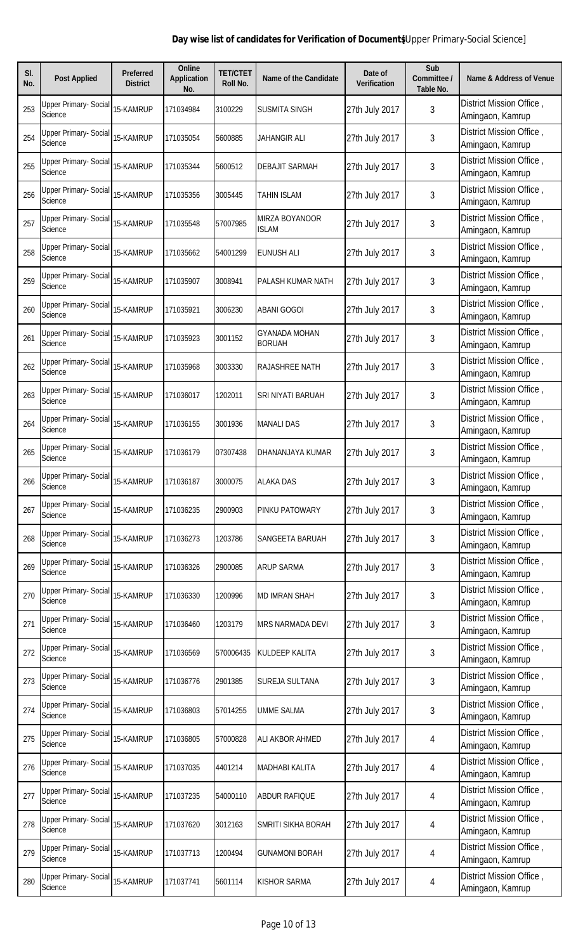| SI.<br>No. | <b>Post Applied</b>                            | <b>Preferred</b><br><b>District</b> | <b>Online</b><br><b>Application</b><br>No. | <b>TET/CTET</b><br>Roll No. | <b>Name of the Candidate</b>          | Date of<br><b>Verification</b> | Sub<br>Committee /<br>Table No. | <b>Name &amp; Address of Venue</b>           |
|------------|------------------------------------------------|-------------------------------------|--------------------------------------------|-----------------------------|---------------------------------------|--------------------------------|---------------------------------|----------------------------------------------|
| 253        | <b>Upper Primary- Social</b><br><b>Science</b> | 15-KAMRUP                           | 171034984                                  | 3100229                     | <b>SUSMITA SINGH</b>                  | 27th July 2017                 | 3                               | District Mission Office,<br>Amingaon, Kamrup |
| 254        | Upper Primary- Social<br>Science               | 15-KAMRUP                           | 171035054                                  | 5600885                     | JAHANGIR ALI                          | 27th July 2017                 | 3                               | District Mission Office,<br>Amingaon, Kamrup |
| 255        | Upper Primary- Social<br><b>Science</b>        | 15-KAMRUP                           | 171035344                                  | 5600512                     | <b>DEBAJIT SARMAH</b>                 | 27th July 2017                 | 3                               | District Mission Office,<br>Amingaon, Kamrup |
| 256        | Upper Primary- Social<br>Science               | 15-KAMRUP                           | 171035356                                  | 3005445                     | <b>TAHIN ISLAM</b>                    | 27th July 2017                 | 3                               | District Mission Office,<br>Amingaon, Kamrup |
| 257        | <b>Upper Primary- Social</b><br>Science        | 15-KAMRUP                           | 171035548                                  | 57007985                    | MIRZA BOYANOOR<br><b>ISLAM</b>        | 27th July 2017                 | 3                               | District Mission Office,<br>Amingaon, Kamrup |
| 258        | Upper Primary- Social<br>Science               | 15-KAMRUP                           | 171035662                                  | 54001299                    | <b>EUNUSH ALI</b>                     | 27th July 2017                 | 3                               | District Mission Office,<br>Amingaon, Kamrup |
| 259        | <b>Upper Primary- Social</b><br>Science        | 15-KAMRUP                           | 171035907                                  | 3008941                     | PALASH KUMAR NATH                     | 27th July 2017                 | 3                               | District Mission Office,<br>Amingaon, Kamrup |
| 260        | Upper Primary- Social<br>Science               | 15-KAMRUP                           | 171035921                                  | 3006230                     | <b>ABANI GOGOI</b>                    | 27th July 2017                 | 3                               | District Mission Office,<br>Amingaon, Kamrup |
| 261        | <b>Upper Primary- Social</b><br>Science        | 15-KAMRUP                           | 171035923                                  | 3001152                     | <b>GYANADA MOHAN</b><br><b>BORUAH</b> | 27th July 2017                 | 3                               | District Mission Office,<br>Amingaon, Kamrup |
| 262        | <b>Upper Primary- Social</b><br>Science        | 15-KAMRUP                           | 171035968                                  | 3003330                     | <b>RAJASHREE NATH</b>                 | 27th July 2017                 | 3                               | District Mission Office,<br>Amingaon, Kamrup |
| 263        | <b>Upper Primary- Social</b><br>Science        | 15-KAMRUP                           | 171036017                                  | 1202011                     | SRI NIYATI BARUAH                     | 27th July 2017                 | 3                               | District Mission Office,<br>Amingaon, Kamrup |
| 264        | <b>Upper Primary- Social</b><br>Science        | 15-KAMRUP                           | 171036155                                  | 3001936                     | <b>MANALI DAS</b>                     | 27th July 2017                 | 3                               | District Mission Office,<br>Amingaon, Kamrup |
| 265        | <b>Upper Primary- Social</b><br>Science        | 15-KAMRUP                           | 171036179                                  | 07307438                    | DHANANJAYA KUMAR                      | 27th July 2017                 | 3                               | District Mission Office,<br>Amingaon, Kamrup |
| 266        | <b>Upper Primary- Social</b><br>Science        | 15-KAMRUP                           | 171036187                                  | 3000075                     | <b>ALAKA DAS</b>                      | 27th July 2017                 | 3                               | District Mission Office,<br>Amingaon, Kamrup |
| 267        | <b>Upper Primary- Social</b><br>Science        | 15-KAMRUP                           | 171036235                                  | 2900903                     | <b>PINKU PATOWARY</b>                 | 27th July 2017                 | 3                               | District Mission Office,<br>Amingaon, Kamrup |
| 268        | Upper Primary- Social<br>Science               | 15-KAMRUP                           | 171036273                                  | 1203786                     | SANGEETA BARUAH                       | 27th July 2017                 | 3                               | District Mission Office,<br>Amingaon, Kamrup |
| 269        | Upper Primary- Social<br>Science               | 15-KAMRUP                           | 171036326                                  | 2900085                     | <b>ARUP SARMA</b>                     | 27th July 2017                 | 3                               | District Mission Office,<br>Amingaon, Kamrup |
| 270        | <b>Upper Primary- Social</b><br>Science        | 15-KAMRUP                           | 171036330                                  | 1200996                     | <b>MD IMRAN SHAH</b>                  | 27th July 2017                 | 3                               | District Mission Office,<br>Amingaon, Kamrup |
| 271        | <b>Upper Primary- Social</b><br>Science        | 15-KAMRUP                           | 171036460                                  | 1203179                     | <b>MRS NARMADA DEVI</b>               | 27th July 2017                 | 3                               | District Mission Office,<br>Amingaon, Kamrup |
| 272        | Upper Primary- Social<br><b>Science</b>        | 15-KAMRUP                           | 171036569                                  | 570006435                   | KULDEEP KALITA                        | 27th July 2017                 | 3                               | District Mission Office,<br>Amingaon, Kamrup |
| 273        | Upper Primary- Social<br>Science               | 15-KAMRUP                           | 171036776                                  | 2901385                     | SUREJA SULTANA                        | 27th July 2017                 | 3                               | District Mission Office,<br>Amingaon, Kamrup |
| 274        | Upper Primary- Social<br>Science               | 15-KAMRUP                           | 171036803                                  | 57014255                    | <b>UMME SALMA</b>                     | 27th July 2017                 | 3                               | District Mission Office,<br>Amingaon, Kamrup |
| 275        | Upper Primary- Social<br>Science               | 15-KAMRUP                           | 171036805                                  | 57000828                    | ALI AKBOR AHMED                       | 27th July 2017                 | 4                               | District Mission Office,<br>Amingaon, Kamrup |
| 276        | Upper Primary- Social<br>Science               | 15-KAMRUP                           | 171037035                                  | 4401214                     | <b>MADHABI KALITA</b>                 | 27th July 2017                 | 4                               | District Mission Office,<br>Amingaon, Kamrup |
| 277        | Upper Primary- Social<br><b>Science</b>        | 15-KAMRUP                           | 171037235                                  | 54000110                    | <b>ABDUR RAFIQUE</b>                  | 27th July 2017                 | 4                               | District Mission Office,<br>Amingaon, Kamrup |
| 278        | <b>Upper Primary- Social</b><br>Science        | 15-KAMRUP                           | 171037620                                  | 3012163                     | SMRITI SIKHA BORAH                    | 27th July 2017                 | 4                               | District Mission Office,<br>Amingaon, Kamrup |
| 279        | <b>Upper Primary- Social</b><br>Science        | 15-KAMRUP                           | 171037713                                  | 1200494                     | <b>GUNAMONI BORAH</b>                 | 27th July 2017                 | 4                               | District Mission Office,<br>Amingaon, Kamrup |
| 280        | <b>Upper Primary- Social</b><br>Science        | 15-KAMRUP                           | 171037741                                  | 5601114                     | <b>KISHOR SARMA</b>                   | 27th July 2017                 | 4                               | District Mission Office,<br>Amingaon, Kamrup |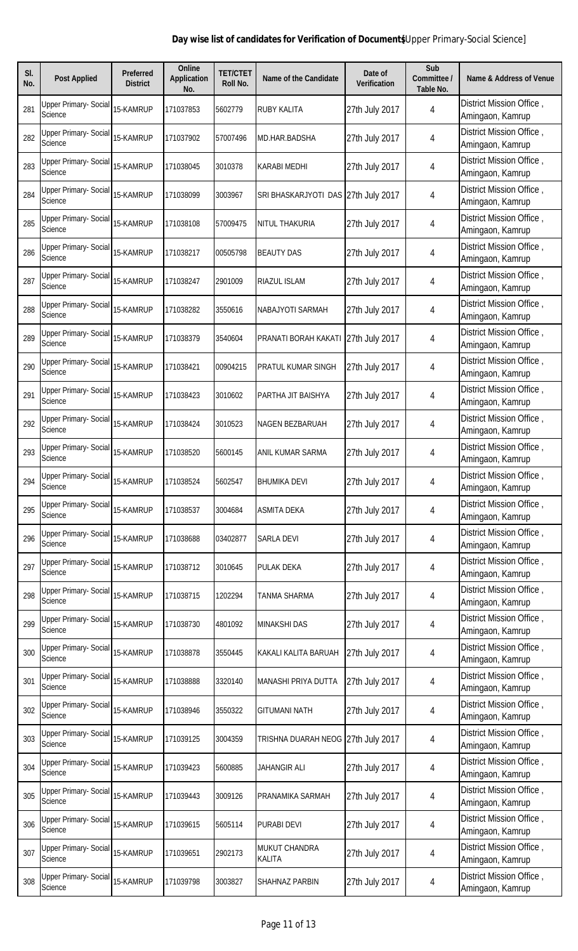| SI.<br>No. | <b>Post Applied</b>                            | <b>Preferred</b><br><b>District</b> | <b>Online</b><br><b>Application</b><br>No. | <b>TET/CTET</b><br>Roll No. | Name of the Candidate                 | Date of<br><b>Verification</b> | Sub<br>Committee /<br>Table No. | <b>Name &amp; Address of Venue</b>           |
|------------|------------------------------------------------|-------------------------------------|--------------------------------------------|-----------------------------|---------------------------------------|--------------------------------|---------------------------------|----------------------------------------------|
| 281        | <b>Upper Primary- Social</b><br><b>Science</b> | 15-KAMRUP                           | 171037853                                  | 5602779                     | <b>RUBY KALITA</b>                    | 27th July 2017                 | 4                               | District Mission Office,<br>Amingaon, Kamrup |
| 282        | <b>Upper Primary- Social</b><br><b>Science</b> | 15-KAMRUP                           | 171037902                                  | 57007496                    | MD.HAR.BADSHA                         | 27th July 2017                 | 4                               | District Mission Office,<br>Amingaon, Kamrup |
| 283        | Upper Primary- Social<br>Science               | 15-KAMRUP                           | 171038045                                  | 3010378                     | <b>KARABI MEDHI</b>                   | 27th July 2017                 | 4                               | District Mission Office,<br>Amingaon, Kamrup |
| 284        | Upper Primary- Social<br>Science               | 15-KAMRUP                           | 171038099                                  | 3003967                     | SRI BHASKARJYOTI DAS 27th July 2017   |                                | 4                               | District Mission Office,<br>Amingaon, Kamrup |
| 285        | Upper Primary- Social<br>Science               | 15-KAMRUP                           | 171038108                                  | 57009475                    | <b>NITUL THAKURIA</b>                 | 27th July 2017                 | 4                               | District Mission Office,<br>Amingaon, Kamrup |
| 286        | Upper Primary- Social<br>Science               | 15-KAMRUP                           | 171038217                                  | 00505798                    | <b>BEAUTY DAS</b>                     | 27th July 2017                 | 4                               | District Mission Office,<br>Amingaon, Kamrup |
| 287        | <b>Upper Primary- Social</b><br>Science        | 15-KAMRUP                           | 171038247                                  | 2901009                     | RIAZUL ISLAM                          | 27th July 2017                 | 4                               | District Mission Office,<br>Amingaon, Kamrup |
| 288        | Upper Primary- Social<br>Science               | 15-KAMRUP                           | 171038282                                  | 3550616                     | NABAJYOTI SARMAH                      | 27th July 2017                 | 4                               | District Mission Office,<br>Amingaon, Kamrup |
| 289        | <b>Upper Primary- Social</b><br><b>Science</b> | 15-KAMRUP                           | 171038379                                  | 3540604                     | PRANATI BORAH KAKAT                   | 27th July 2017                 | 4                               | District Mission Office,<br>Amingaon, Kamrup |
| 290        | <b>Upper Primary- Social</b><br>Science        | 15-KAMRUP                           | 171038421                                  | 00904215                    | PRATUL KUMAR SINGH                    | 27th July 2017                 | 4                               | District Mission Office,<br>Amingaon, Kamrup |
| 291        | <b>Upper Primary- Social</b><br>Science        | 15-KAMRUP                           | 171038423                                  | 3010602                     | PARTHA JIT BAISHYA                    | 27th July 2017                 | 4                               | District Mission Office,<br>Amingaon, Kamrup |
| 292        | Upper Primary- Social<br>Science               | 15-KAMRUP                           | 171038424                                  | 3010523                     | <b>NAGEN BEZBARUAH</b>                | 27th July 2017                 | 4                               | District Mission Office,<br>Amingaon, Kamrup |
| 293        | <b>Upper Primary- Social</b><br>Science        | 15-KAMRUP                           | 171038520                                  | 5600145                     | <b>ANIL KUMAR SARMA</b>               | 27th July 2017                 | 4                               | District Mission Office,<br>Amingaon, Kamrup |
| 294        | <b>Upper Primary- Social</b><br>Science        | 15-KAMRUP                           | 171038524                                  | 5602547                     | <b>BHUMIKA DEVI</b>                   | 27th July 2017                 | 4                               | District Mission Office,<br>Amingaon, Kamrup |
| 295        | <b>Upper Primary- Social</b><br><b>Science</b> | 15-KAMRUP                           | 171038537                                  | 3004684                     | <b>ASMITA DEKA</b>                    | 27th July 2017                 | 4                               | District Mission Office,<br>Amingaon, Kamrup |
| 296        | <b>Upper Primary- Social</b><br>Science        | 15-KAMRUP                           | 171038688                                  | 03402877                    | <b>SARLA DEVI</b>                     | 27th July 2017                 | 4                               | District Mission Office,<br>Amingaon, Kamrup |
| 297        | Upper Primary- Social<br><b>Science</b>        | 15-KAMRUP                           | 171038712                                  | 3010645                     | <b>PULAK DEKA</b>                     | 27th July 2017                 | 4                               | District Mission Office,<br>Amingaon, Kamrup |
| 298        | Upper Primary- Social<br>Science               | 15-KAMRUP                           | 171038715                                  | 1202294                     | TANMA SHARMA                          | 27th July 2017                 | 4                               | District Mission Office,<br>Amingaon, Kamrup |
| 299        | <b>Upper Primary- Social</b><br><b>Science</b> | 15-KAMRUP                           | 171038730                                  | 4801092                     | <b>MINAKSHI DAS</b>                   | 27th July 2017                 | 4                               | District Mission Office,<br>Amingaon, Kamrup |
| 300        | <b>Upper Primary- Social</b><br>Science        | 15-KAMRUP                           | 171038878                                  | 3550445                     | KAKALI KALITA BARUAH                  | 27th July 2017                 | 4                               | District Mission Office,<br>Amingaon, Kamrup |
| 301        | <b>Upper Primary- Social</b><br><b>Science</b> | 15-KAMRUP                           | 171038888                                  | 3320140                     | <b>MANASHI PRIYA DUTTA</b>            | 27th July 2017                 | 4                               | District Mission Office,<br>Amingaon, Kamrup |
| 302        | Upper Primary- Social<br><b>Science</b>        | 15-KAMRUP                           | 171038946                                  | 3550322                     | <b>GITUMANI NATH</b>                  | 27th July 2017                 | 4                               | District Mission Office,<br>Amingaon, Kamrup |
| 303        | Upper Primary- Social<br>Science               | 15-KAMRUP                           | 171039125                                  | 3004359                     | TRISHNA DUARAH NEOG                   | 27th July 2017                 | 4                               | District Mission Office,<br>Amingaon, Kamrup |
| 304        | Upper Primary- Social<br>Science               | 15-KAMRUP                           | 171039423                                  | 5600885                     | <b>JAHANGIR ALI</b>                   | 27th July 2017                 | 4                               | District Mission Office,<br>Amingaon, Kamrup |
| 305        | <b>Upper Primary- Social</b><br>Science        | 15-KAMRUP                           | 171039443                                  | 3009126                     | PRANAMIKA SARMAH                      | 27th July 2017                 | 4                               | District Mission Office,<br>Amingaon, Kamrup |
| 306        | Upper Primary- Social<br>Science               | 15-KAMRUP                           | 171039615                                  | 5605114                     | <b>PURABI DEVI</b>                    | 27th July 2017                 | 4                               | District Mission Office,<br>Amingaon, Kamrup |
| 307        | <b>Upper Primary- Social</b><br>Science        | 15-KAMRUP                           | 171039651                                  | 2902173                     | <b>MUKUT CHANDRA</b><br><b>KALITA</b> | 27th July 2017                 | 4                               | District Mission Office,<br>Amingaon, Kamrup |
| 308        | <b>Upper Primary- Social</b><br>Science        | 15-KAMRUP                           | 171039798                                  | 3003827                     | <b>SHAHNAZ PARBIN</b>                 | 27th July 2017                 | 4                               | District Mission Office,<br>Amingaon, Kamrup |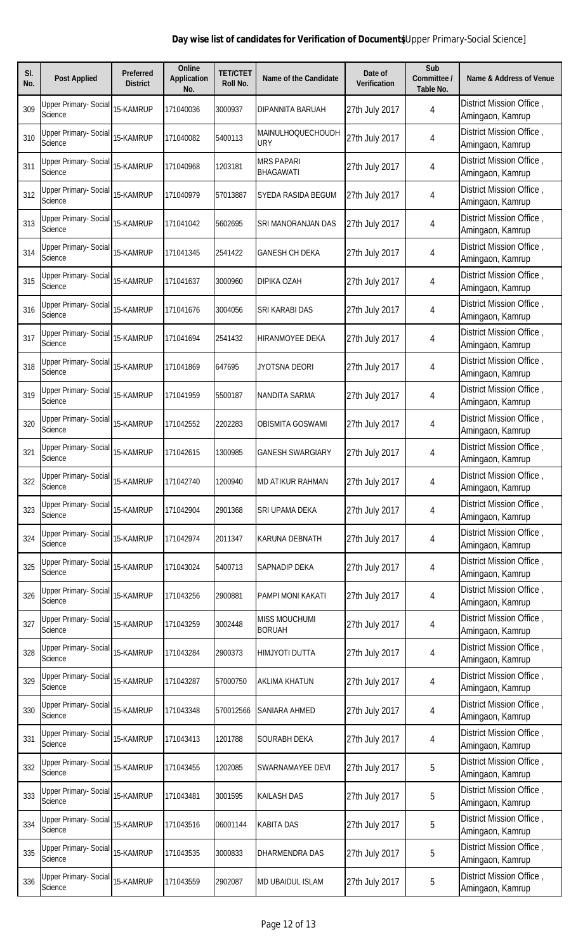| SI.<br>No. | <b>Post Applied</b>                            | <b>Preferred</b><br><b>District</b> | <b>Online</b><br><b>Application</b><br>No. | <b>TET/CTET</b><br>Roll No. | Name of the Candidate                 | Date of<br><b>Verification</b> | Sub<br>Committee /<br>Table No. | <b>Name &amp; Address of Venue</b>           |
|------------|------------------------------------------------|-------------------------------------|--------------------------------------------|-----------------------------|---------------------------------------|--------------------------------|---------------------------------|----------------------------------------------|
| 309        | <b>Upper Primary- Social</b><br>Science        | 15-KAMRUP                           | 171040036                                  | 3000937                     | DIPANNITA BARUAH                      | 27th July 2017                 | 4                               | District Mission Office,<br>Amingaon, Kamrup |
| 310        | <b>Upper Primary- Social</b><br><b>Science</b> | 15-KAMRUP                           | 171040082                                  | 5400113                     | MAINULHOQUECHOUDH<br><b>URY</b>       | 27th July 2017                 | 4                               | District Mission Office,<br>Amingaon, Kamrup |
| 311        | Upper Primary- Social<br>Science               | 15-KAMRUP                           | 171040968                                  | 1203181                     | <b>MRS PAPARI</b><br><b>BHAGAWATI</b> | 27th July 2017                 | 4                               | District Mission Office,<br>Amingaon, Kamrup |
| 312        | Upper Primary- Social<br>Science               | 15-KAMRUP                           | 171040979                                  | 57013887                    | <b>SYEDA RASIDA BEGUM</b>             | 27th July 2017                 | 4                               | District Mission Office,<br>Amingaon, Kamrup |
| 313        | Upper Primary- Social<br>Science               | 15-KAMRUP                           | 171041042                                  | 5602695                     | SRI MANORANJAN DAS                    | 27th July 2017                 | 4                               | District Mission Office,<br>Amingaon, Kamrup |
| 314        | Upper Primary- Social<br>Science               | 15-KAMRUP                           | 171041345                                  | 2541422                     | <b>GANESH CH DEKA</b>                 | 27th July 2017                 | 4                               | District Mission Office,<br>Amingaon, Kamrup |
| 315        | Upper Primary- Social<br>Science               | 15-KAMRUP                           | 171041637                                  | 3000960                     | DIPIKA OZAH                           | 27th July 2017                 | 4                               | District Mission Office,<br>Amingaon, Kamrup |
| 316        | Upper Primary- Social<br>Science               | 15-KAMRUP                           | 171041676                                  | 3004056                     | SRI KARABI DAS                        | 27th July 2017                 | 4                               | District Mission Office,<br>Amingaon, Kamrup |
| 317        | <b>Upper Primary- Social</b><br>Science        | 15-KAMRUP                           | 171041694                                  | 2541432                     | HIRANMOYEE DEKA                       | 27th July 2017                 | 4                               | District Mission Office,<br>Amingaon, Kamrup |
| 318        | <b>Upper Primary- Social</b><br>Science        | 15-KAMRUP                           | 171041869                                  | 647695                      | JYOTSNA DEORI                         | 27th July 2017                 | 4                               | District Mission Office,<br>Amingaon, Kamrup |
| 319        | <b>Upper Primary- Social</b><br>Science        | 15-KAMRUP                           | 171041959                                  | 5500187                     | NANDITA SARMA                         | 27th July 2017                 | 4                               | District Mission Office,<br>Amingaon, Kamrup |
| 320        | <b>Upper Primary- Social</b><br>Science        | 15-KAMRUP                           | 171042552                                  | 2202283                     | <b>OBISMITA GOSWAMI</b>               | 27th July 2017                 | 4                               | District Mission Office,<br>Amingaon, Kamrup |
| 321        | <b>Upper Primary- Social</b><br>Science        | 15-KAMRUP                           | 171042615                                  | 1300985                     | <b>GANESH SWARGIARY</b>               | 27th July 2017                 | 4                               | District Mission Office,<br>Amingaon, Kamrup |
| 322        | <b>Upper Primary- Social</b><br>Science        | 15-KAMRUP                           | 171042740                                  | 1200940                     | <b>MD ATIKUR RAHMAN</b>               | 27th July 2017                 | 4                               | District Mission Office,<br>Amingaon, Kamrup |
| 323        | <b>Upper Primary- Social</b><br><b>Science</b> | 15-KAMRUP                           | 171042904                                  | 2901368                     | SRI UPAMA DEKA                        | 27th July 2017                 | 4                               | District Mission Office,<br>Amingaon, Kamrup |
| 324        | Upper Primary- Social<br>Science               | 15-KAMRUP                           | 171042974                                  | 2011347                     | <b>KARUNA DEBNATH</b>                 | 27th July 2017                 | 4                               | District Mission Office,<br>Amingaon, Kamrup |
| 325        | Upper Primary- Social<br>Science               | 15-KAMRUP                           | 171043024                                  | 5400713                     | <b>SAPNADIP DEKA</b>                  | 27th July 2017                 | 4                               | District Mission Office,<br>Amingaon, Kamrup |
| 326        | <b>Upper Primary- Social</b><br>Science        | 15-KAMRUP                           | 171043256                                  | 2900881                     | PAMPI MONI KAKATI                     | 27th July 2017                 | 4                               | District Mission Office,<br>Amingaon, Kamrup |
| 327        | <b>Upper Primary- Social</b><br><b>Science</b> | 15-KAMRUP                           | 171043259                                  | 3002448                     | <b>MISS MOUCHUMI</b><br><b>BORUAH</b> | 27th July 2017                 | 4                               | District Mission Office,<br>Amingaon, Kamrup |
| 328        | <b>Upper Primary- Social</b><br>Science        | 15-KAMRUP                           | 171043284                                  | 2900373                     | <b>HIMJYOTI DUTTA</b>                 | 27th July 2017                 | 4                               | District Mission Office,<br>Amingaon, Kamrup |
| 329        | Upper Primary- Social<br><b>Science</b>        | 15-KAMRUP                           | 171043287                                  | 57000750                    | <b>AKLIMA KHATUN</b>                  | 27th July 2017                 | 4                               | District Mission Office,<br>Amingaon, Kamrup |
| 330        | Upper Primary- Social<br><b>Science</b>        | 15-KAMRUP                           | 171043348                                  | 570012566                   | SANIARA AHMED                         | 27th July 2017                 | 4                               | District Mission Office,<br>Amingaon, Kamrup |
| 331        | Upper Primary- Social<br>Science               | 15-KAMRUP                           | 171043413                                  | 1201788                     | SOURABH DEKA                          | 27th July 2017                 | 4                               | District Mission Office,<br>Amingaon, Kamrup |
| 332        | Upper Primary- Social<br>Science               | 15-KAMRUP                           | 171043455                                  | 1202085                     | SWARNAMAYEE DEVI                      | 27th July 2017                 | 5                               | District Mission Office,<br>Amingaon, Kamrup |
| 333        | <b>Upper Primary- Social</b><br>Science        | 15-KAMRUP                           | 171043481                                  | 3001595                     | <b>KAILASH DAS</b>                    | 27th July 2017                 | 5                               | District Mission Office,<br>Amingaon, Kamrup |
| 334        | Upper Primary- Social<br>Science               | 15-KAMRUP                           | 171043516                                  | 06001144                    | <b>KABITA DAS</b>                     | 27th July 2017                 | 5                               | District Mission Office,<br>Amingaon, Kamrup |
| 335        | <b>Upper Primary- Social</b><br>Science        | 15-KAMRUP                           | 171043535                                  | 3000833                     | DHARMENDRA DAS                        | 27th July 2017                 | 5                               | District Mission Office,<br>Amingaon, Kamrup |
| 336        | <b>Upper Primary- Social</b><br>Science        | 15-KAMRUP                           | 171043559                                  | 2902087                     | <b>MD UBAIDUL ISLAM</b>               | 27th July 2017                 | 5                               | District Mission Office,<br>Amingaon, Kamrup |